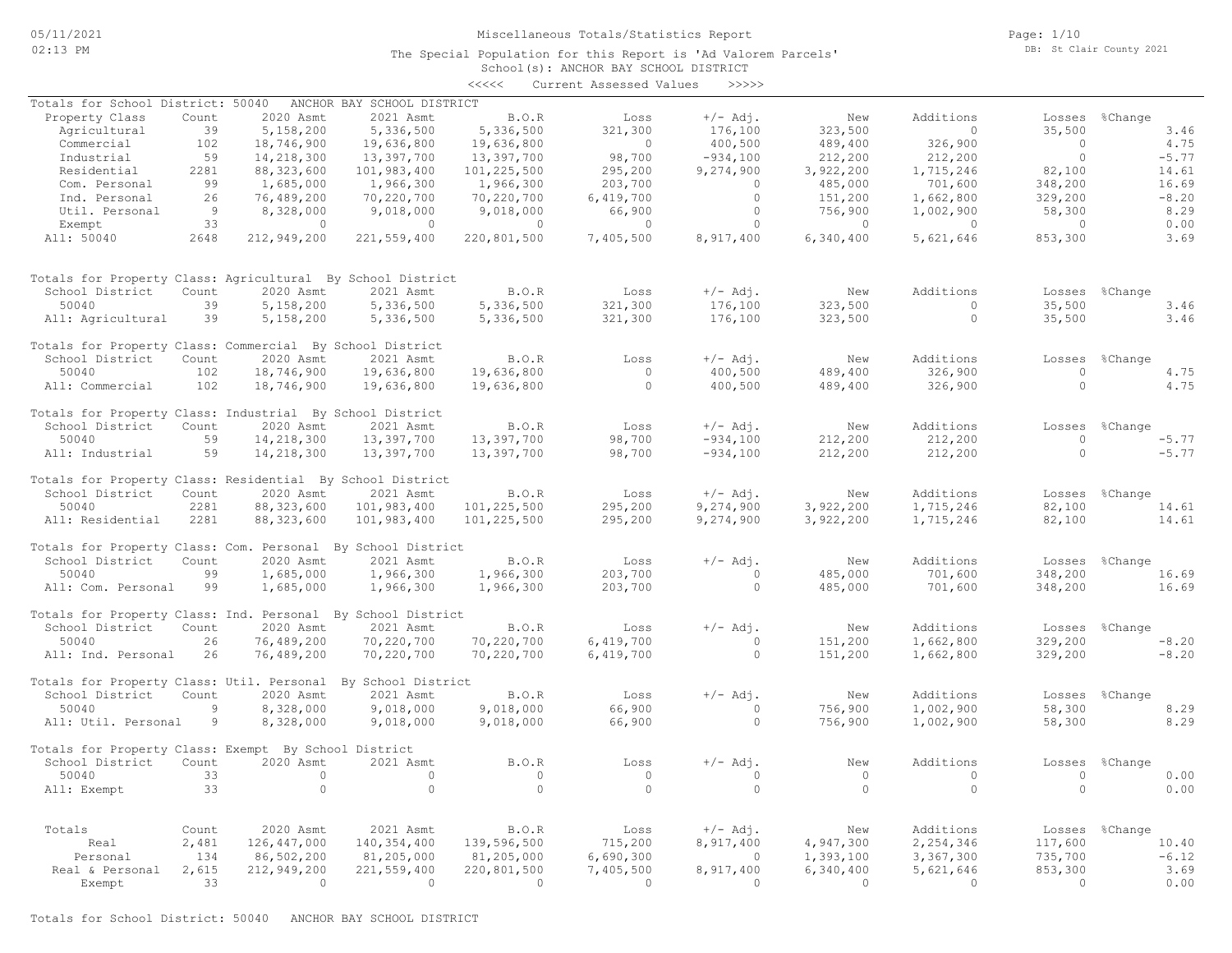School(s): ANCHOR BAY SCHOOL DISTRICT The Special Population for this Report is 'Ad Valorem Parcels' Page: 1/10 DB: St Clair County 2021

# <<<<< Current Assessed Values >>>>> Personal 134 86,502,200 81,205,000 81,205,000 6,690,300 0 1,393,100 3,367,300 735,700 -6.12 Real 2,481 126,447,000 140,354,400 139,596,500 715,200 8,917,400 4,947,300 2,254,346 117,600 10.40 Totals Count 2020 Asmt 2021 Asmt B.O.R Loss +/- Adj. New Additions Losses %Change All: Exempt 33 0 0 0 0 0 0 0 0 0.00 50040 33 0 0 0 0 0 0 0 0 0.00 School District Count 2020 Asmt 2021 Asmt B.O.R Loss +/-Adj. New Additions Losses %Change Totals for Property Class: Exempt By School District All: Util. Personal 9 8,328,000 9,018,000 9,018,000 66,900 0 756,900 1,002,900 58,300 8.29 50040 9 8,328,000 9,018,000 9,018,000 66,900 0 756,900 1,002,900 58,300 8.29 School District Count 2020 Asmt 2021 Asmt B.O.R Loss +/-Adj. New Additions Losses %Change Totals for Property Class: Util. Personal By School District All: Ind. Personal 26 76,489,200 70,220,700 70,220,700 6,419,700 0 151,200 1,662,800 329,200 -8.20 50040 26 76,489,200 70,220,700 70,220,700 6,419,700 0 151,200 1,662,800 329,200 -8.20 School District Count 2020 Asmt 2021 Asmt B.O.R Loss  $+/-$  Adj. New Additions Losses %Change<br>50040 26 76,489,200 70,220,700 70,220,700 6,419,700 0 151,200 1,662,800 329,200 -8.20 Totals for Property Class: Ind. Personal By School District All: Com. Personal 99 1,685,000 1,966,300 1,966,300 203,700 0 485,000 701,600 348,200 16.69 50040 99 1,685,000 1,966,300 1,966,300 203,700 0 485,000 701,600 348,200 16.69 School District Count 2020 Asmt 2021 Asmt B.O.R Loss +/- Adj. New Additions Losses %Change Totals for Property Class: Com. Personal By School District All: Residential 2281 88,323,600 101,983,400 101,225,500 295,200 9,274,900 3,922,200 1,715,246 82,100 14.61 50040 2281 88,323,600 101,983,400 101,225,500 295,200 9,274,900 3,922,200 1,715,246 82,100 14.61 School District Count 2020 Asmt 2021 Asmt B.O.R Loss +/- Adj. New Additions Losses %Change Totals for Property Class: Residential By School District All: Industrial 59 14,218,300 13,397,700 13,397,700 98,700 -934,100 212,200 212,200 0 -5.77 50040 59 14,218,300 13,397,700 13,397,700 98,700 -934,100 212,200 212,200 0 -5.77 School District Count 2020 Asmt 2021 Asmt B.O.R Loss +/-Adj. New Additions Losses %Change Totals for Property Class: Industrial By School District All: Commercial 102 18,746,900 19,636,800 19,636,800 0 400,500 489,400 326,900 0 4.75 50040 102 18,746,900 19,636,800 19,636,800 0 400,500 489,400 326,900 0 4.75 School District Count 2020 Asmt 2021 Asmt B.O.R Loss +/-Adj. New Additions Losses %Change Totals for Property Class: Commercial By School District All: Agricultural 39 5,158,200 5,336,500 5,336,500 321,300 176,100 323,500 0 35,500 3.46 50040 39 5,158,200 5,336,500 5,336,500 321,300 176,100 323,500 0 35,500 3.46 School District Count 2020 Asmt 2021 Asmt B.O.R Loss +/-Adj. New Additions Losses %Change Totals for Property Class: Agricultural By School District All: 50040 2648 212,949,200 221,559,400 220,801,500 7,405,500 8,917,400 6,340,400 5,621,646 853,300 3.69 Exempt 33 0 0 0 0 0 0 0 0 0.00 Util. Personal 9 8,328,000 9,018,000 9,018,000 66,900 0 756,900 1,002,900 58,300 8.29 Ind. Personal 26 76,489,200 70,220,700 70,220,700 6,419,700 0 151,200 1,662,800 329,200 -8.20 Com. Personal 99 1,685,000 1,966,300 1,966,300 203,700 0 485,000 701,600 348,200 16.69 Residential 2281 88,323,600 101,983,400 101,225,500 295,200 9,274,900 3,922,200 1,715,246 82,100 14.61 Industrial 59 14,218,300 13,397,700 13,397,700 98,700 -934,100 212,200 212,200 0 -5.77 Commercial 102 18,746,900 19,636,800 19,636,800 0 400,500 489,400 326,900 0 4.75 Agricultural 39 5,158,200 5,336,500 5,336,500 321,300 176,100 323,500 0 35,500 3.46 Property Class Count 2020 Asmt 2021 Asmt B.O.R Loss +/-Adj. New Additions Losses %Change Totals for School District: 50040 ANCHOR BAY SCHOOL DISTRICT

 Exempt 33 0 0 0 0 0 0 0 0 0.00 Real & Personal 2,615 212,949,200 221,559,400 220,801,500 7,405,500 8,917,400 6,340,400 5,621,646 853,300 3.69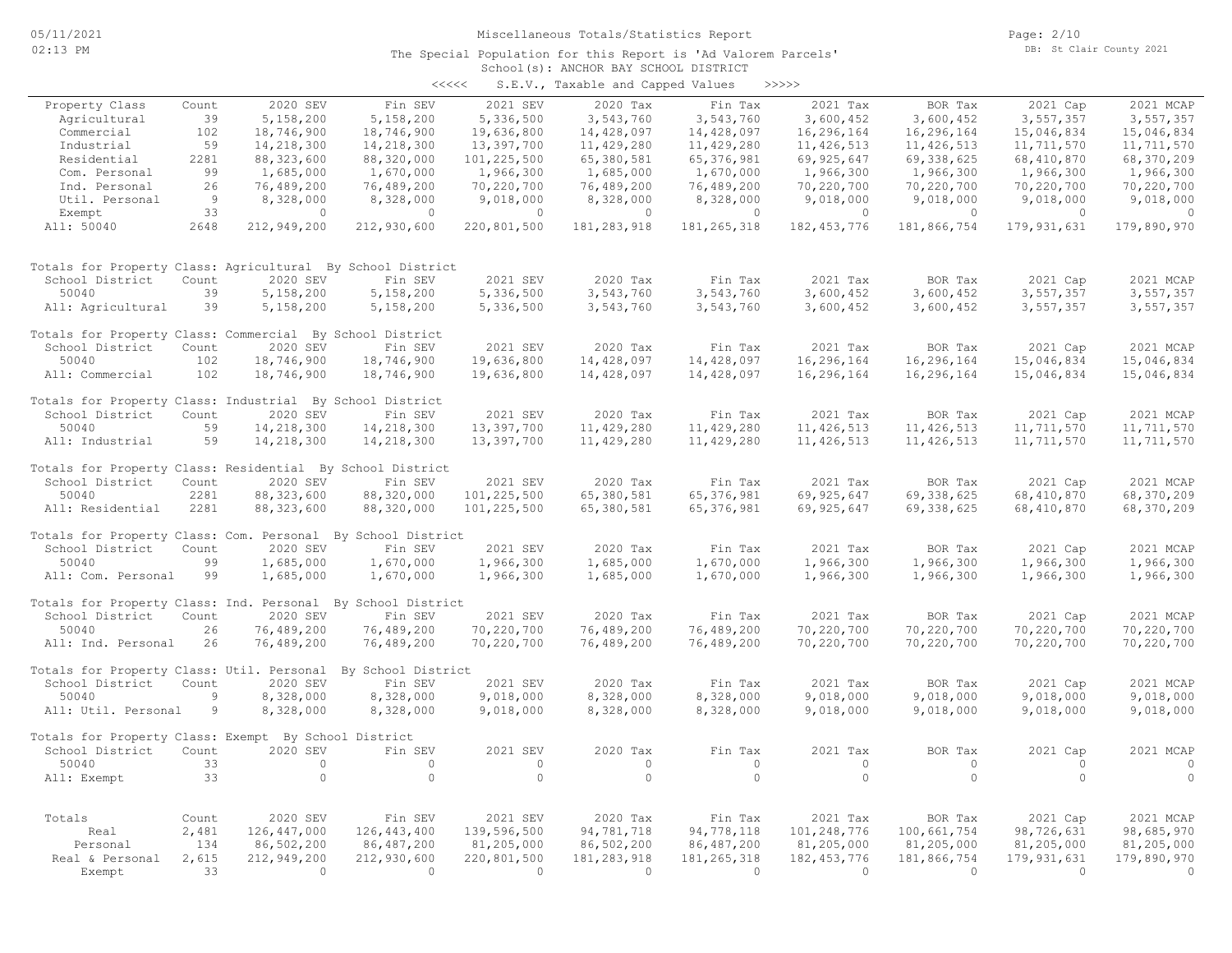#### School(s): ANCHOR BAY SCHOOL DISTRICT The Special Population for this Report is 'Ad Valorem Parcels'

| くくくくく | S.E.V., Taxable and Capped Values |  | >>>>> |
|-------|-----------------------------------|--|-------|
|-------|-----------------------------------|--|-------|

| Property Class<br>2020 SEV<br>Fin SEV<br>2021 SEV<br>2020 Tax<br>2021 Tax<br>2021 Cap<br>2021 MCAP<br>Count<br>Fin Tax<br>BOR Tax<br>Agricultural<br>39<br>5,158,200<br>5,158,200<br>5,336,500<br>3,543,760<br>3,543,760<br>3,600,452<br>3,557,357<br>3,557,357<br>3,600,452<br>102<br>Commercial<br>18,746,900<br>18,746,900<br>19,636,800<br>14,428,097<br>14,428,097<br>16,296,164<br>16,296,164<br>15,046,834<br>15,046,834<br>59<br>13,397,700<br>11,429,280<br>11, 426, 513<br>Industrial<br>14,218,300<br>14,218,300<br>11,429,280<br>11, 426, 513<br>11,711,570<br>11,711,570<br>Residential<br>2281<br>88, 323, 600<br>88,320,000<br>101,225,500<br>65,380,581<br>65, 376, 981<br>69,925,647<br>69, 338, 625<br>68,410,870<br>68,370,209<br>99<br>1,670,000<br>1,966,300<br>Com. Personal<br>1,685,000<br>1,670,000<br>1,966,300<br>1,685,000<br>1,966,300<br>1,966,300<br>1,966,300<br>Ind. Personal<br>26<br>76,489,200<br>76,489,200<br>70,220,700<br>76,489,200<br>76,489,200<br>70,220,700<br>70,220,700<br>70,220,700<br>70,220,700<br>Util. Personal<br>-9<br>8,328,000<br>8,328,000<br>9,018,000<br>8,328,000<br>8,328,000<br>9,018,000<br>9,018,000<br>9,018,000<br>9,018,000<br>33<br>$\circ$<br>$\circ$<br>$\circ$<br>$\circ$<br>$\circ$<br>$\circ$<br>$\circ$<br>$\circ$<br>$\circ$<br>Exempt<br>All: 50040<br>2648<br>212,949,200<br>212,930,600<br>220,801,500<br>181, 283, 918<br>181, 265, 318<br>182, 453, 776<br>181,866,754<br>179, 931, 631<br>179,890,970<br>Totals for Property Class: Agricultural By School District<br>School District<br>2020 SEV<br>2021 SEV<br>2020 Tax<br>2021 Tax<br>BOR Tax<br>2021 Cap<br>2021 MCAP<br>Count<br>Fin SEV<br>Fin Tax<br>50040<br>39<br>5,158,200<br>5,158,200<br>5,336,500<br>3,543,760<br>3,543,760<br>3,600,452<br>3,600,452<br>3,557,357<br>3,557,357<br>3,543,760<br>All: Agricultural<br>39<br>5,158,200<br>5,158,200<br>5,336,500<br>3,543,760<br>3,600,452<br>3,600,452<br>3,557,357<br>3,557,357<br>Totals for Property Class: Commercial By School District<br>2021 SEV<br>2021 Tax<br>2021 MCAP<br>School District<br>2020 SEV<br>Fin SEV<br>2020 Tax<br>Fin Tax<br>BOR Tax<br>2021 Cap<br>Count<br>19,636,800<br>14,428,097<br>102<br>18,746,900<br>18,746,900<br>14,428,097<br>16,296,164<br>16,296,164<br>15,046,834<br>15,046,834<br>50040<br>102<br>18,746,900<br>18,746,900<br>14,428,097<br>16,296,164<br>16,296,164<br>All: Commercial<br>19,636,800<br>14,428,097<br>15,046,834<br>15,046,834<br>Totals for Property Class: Industrial By School District<br>2021 SEV<br>2021 Tax<br>School District<br>Count<br>2020 SEV<br>Fin SEV<br>2020 Tax<br>Fin Tax<br>BOR Tax<br>2021 Cap<br>2021 MCAP<br>50040<br>59<br>14,218,300<br>14,218,300<br>13,397,700<br>11,429,280<br>11,429,280<br>11, 426, 513<br>11, 426, 513<br>11,711,570<br>11,711,570<br>59<br>14,218,300<br>14,218,300<br>13,397,700<br>11,429,280<br>11,429,280<br>11, 426, 513<br>11, 426, 513<br>11,711,570<br>11,711,570<br>All: Industrial<br>Totals for Property Class: Residential By School District<br>2020 SEV<br>2021 SEV<br>2020 Tax<br>Fin Tax<br>2021 Tax<br>BOR Tax<br>2021 Cap<br>2021 MCAP<br>School District<br>Count<br>Fin SEV<br>2281<br>88, 323, 600<br>88,320,000<br>101,225,500<br>65,380,581<br>65, 376, 981<br>69, 925, 647<br>69, 338, 625<br>68,410,870<br>68,370,209<br>50040<br>2281<br>65, 376, 981<br>69, 925, 647<br>69, 338, 625<br>88, 323, 600<br>88,320,000<br>101,225,500<br>65,380,581<br>68,410,870<br>68,370,209<br>All: Residential<br>Totals for Property Class: Com. Personal By School District<br>School District<br>2020 SEV<br>Fin SEV<br>2021 SEV<br>2020 Tax<br>Fin Tax<br>2021 Tax<br>2021 MCAP<br>Count<br>BOR Tax<br>2021 Cap<br>50040<br>99<br>1,685,000<br>1,670,000<br>1,966,300<br>1,685,000<br>1,670,000<br>1,966,300<br>1,966,300<br>1,966,300<br>1,966,300<br>99<br>1,670,000<br>All: Com. Personal<br>1,685,000<br>1,670,000<br>1,966,300<br>1,685,000<br>1,966,300<br>1,966,300<br>1,966,300<br>1,966,300<br>Totals for Property Class: Ind. Personal By School District<br>2020 Tax<br>2021 Tax<br>2021 Cap<br>2021 MCAP<br>School District<br>Count<br>2020 SEV<br>Fin SEV<br>2021 SEV<br>Fin Tax<br>BOR Tax<br>76,489,200<br>70,220,700<br>76,489,200<br>70,220,700<br>70,220,700<br>70,220,700<br>70,220,700<br>50040<br>26<br>76,489,200<br>76,489,200<br>76,489,200<br>70,220,700<br>76,489,200<br>76,489,200<br>70,220,700<br>70,220,700<br>70,220,700<br>70,220,700<br>All: Ind. Personal<br>26<br>76,489,200<br>Totals for Property Class: Util. Personal<br>By School District<br>2020 SEV<br>Fin SEV<br>2021 SEV<br>2020 Tax<br>2021 Tax<br>2021 MCAP<br>School District<br>Count<br>Fin Tax<br>BOR Tax<br>2021 Cap<br>9,018,000<br>8,328,000<br>8,328,000<br>9,018,000<br>9,018,000<br>50040<br>9<br>8,328,000<br>8,328,000<br>9,018,000<br>9,018,000<br>All: Util. Personal<br>9<br>8,328,000<br>8,328,000<br>9,018,000<br>8,328,000<br>8,328,000<br>9,018,000<br>9,018,000<br>9,018,000<br>9,018,000<br>Totals for Property Class: Exempt By School District<br>2021 SEV<br>2020 Tax<br>2021 Tax<br>2021 MCAP<br>School District<br>Count<br>2020 SEV<br>Fin SEV<br>Fin Tax<br>BOR Tax<br>2021 Cap<br>33<br>$\circ$<br>$\circ$<br>$\circ$<br>$\circ$<br>$\circ$<br>$\circ$<br>$\circ$<br>$\circ$<br>$\circ$<br>50040<br>$\circ$<br>$\circ$<br>33<br>$\circ$<br>$\circ$<br>$\circ$<br>$\circ$<br>$\circ$<br>$\circ$<br>$\circ$<br>All: Exempt<br>2020 SEV<br>Totals<br>Fin SEV<br>2021 SEV<br>2020 Tax<br>Fin Tax<br>2021 Tax<br>BOR Tax<br>2021 Cap<br>2021 MCAP<br>Count<br>139,596,500<br>94,778,118<br>2,481<br>126, 447, 000<br>126, 443, 400<br>94,781,718<br>101,248,776<br>100,661,754<br>98,726,631<br>98,685,970<br>Real<br>134<br>Personal<br>86,502,200<br>86,487,200<br>81,205,000<br>86,502,200<br>86,487,200<br>81,205,000<br>81,205,000<br>81,205,000<br>81,205,000<br>Real & Personal<br>2,615<br>212,949,200<br>212,930,600<br>220,801,500<br>181, 283, 918<br>181, 265, 318<br>182, 453, 776<br>181,866,754<br>179, 931, 631<br>179,890,970<br>33<br>$\Omega$<br>$\Omega$<br>$\Omega$<br>$\overline{0}$<br>$\Omega$<br>$\Omega$<br>$\Omega$<br>$\Omega$<br>$\Omega$<br>Exempt |  |  |  |  |  |  |
|-----------------------------------------------------------------------------------------------------------------------------------------------------------------------------------------------------------------------------------------------------------------------------------------------------------------------------------------------------------------------------------------------------------------------------------------------------------------------------------------------------------------------------------------------------------------------------------------------------------------------------------------------------------------------------------------------------------------------------------------------------------------------------------------------------------------------------------------------------------------------------------------------------------------------------------------------------------------------------------------------------------------------------------------------------------------------------------------------------------------------------------------------------------------------------------------------------------------------------------------------------------------------------------------------------------------------------------------------------------------------------------------------------------------------------------------------------------------------------------------------------------------------------------------------------------------------------------------------------------------------------------------------------------------------------------------------------------------------------------------------------------------------------------------------------------------------------------------------------------------------------------------------------------------------------------------------------------------------------------------------------------------------------------------------------------------------------------------------------------------------------------------------------------------------------------------------------------------------------------------------------------------------------------------------------------------------------------------------------------------------------------------------------------------------------------------------------------------------------------------------------------------------------------------------------------------------------------------------------------------------------------------------------------------------------------------------------------------------------------------------------------------------------------------------------------------------------------------------------------------------------------------------------------------------------------------------------------------------------------------------------------------------------------------------------------------------------------------------------------------------------------------------------------------------------------------------------------------------------------------------------------------------------------------------------------------------------------------------------------------------------------------------------------------------------------------------------------------------------------------------------------------------------------------------------------------------------------------------------------------------------------------------------------------------------------------------------------------------------------------------------------------------------------------------------------------------------------------------------------------------------------------------------------------------------------------------------------------------------------------------------------------------------------------------------------------------------------------------------------------------------------------------------------------------------------------------------------------------------------------------------------------------------------------------------------------------------------------------------------------------------------------------------------------------------------------------------------------------------------------------------------------------------------------------------------------------------------------------------------------------------------------------------------------------------------------------------------------------------------------------------------------------------------------------------------------------------------------------------------------------------------------------------------------------------------------------------------------------------------------------------------------------------------------------------------------------------------------------------------------------------------------------------------------------------------------------------------------------------------------------------------------------------------------------------------------------------------------------------------------------------------------------------------------------------------------------------------------------------------------------------------------------------------------------------------------------------------------------------------------------------------------------------------------------------------------------------------------------------------------------------------------------------------------------------------------------------------------------------------------------------------------------------------------------------------------------------------------------------------------------------------------------------------------------------------------------------------------------------------------------------------------------------------------------------------------------------------------------------------|--|--|--|--|--|--|
|                                                                                                                                                                                                                                                                                                                                                                                                                                                                                                                                                                                                                                                                                                                                                                                                                                                                                                                                                                                                                                                                                                                                                                                                                                                                                                                                                                                                                                                                                                                                                                                                                                                                                                                                                                                                                                                                                                                                                                                                                                                                                                                                                                                                                                                                                                                                                                                                                                                                                                                                                                                                                                                                                                                                                                                                                                                                                                                                                                                                                                                                                                                                                                                                                                                                                                                                                                                                                                                                                                                                                                                                                                                                                                                                                                                                                                                                                                                                                                                                                                                                                                                                                                                                                                                                                                                                                                                                                                                                                                                                                                                                                                                                                                                                                                                                                                                                                                                                                                                                                                                                                                                                                                                                                                                                                                                                                                                                                                                                                                                                                                                                                                                                                                                                                                                                                                                                                                                                                                                                                                                                                                                                                                                                                                   |  |  |  |  |  |  |
|                                                                                                                                                                                                                                                                                                                                                                                                                                                                                                                                                                                                                                                                                                                                                                                                                                                                                                                                                                                                                                                                                                                                                                                                                                                                                                                                                                                                                                                                                                                                                                                                                                                                                                                                                                                                                                                                                                                                                                                                                                                                                                                                                                                                                                                                                                                                                                                                                                                                                                                                                                                                                                                                                                                                                                                                                                                                                                                                                                                                                                                                                                                                                                                                                                                                                                                                                                                                                                                                                                                                                                                                                                                                                                                                                                                                                                                                                                                                                                                                                                                                                                                                                                                                                                                                                                                                                                                                                                                                                                                                                                                                                                                                                                                                                                                                                                                                                                                                                                                                                                                                                                                                                                                                                                                                                                                                                                                                                                                                                                                                                                                                                                                                                                                                                                                                                                                                                                                                                                                                                                                                                                                                                                                                                                   |  |  |  |  |  |  |
|                                                                                                                                                                                                                                                                                                                                                                                                                                                                                                                                                                                                                                                                                                                                                                                                                                                                                                                                                                                                                                                                                                                                                                                                                                                                                                                                                                                                                                                                                                                                                                                                                                                                                                                                                                                                                                                                                                                                                                                                                                                                                                                                                                                                                                                                                                                                                                                                                                                                                                                                                                                                                                                                                                                                                                                                                                                                                                                                                                                                                                                                                                                                                                                                                                                                                                                                                                                                                                                                                                                                                                                                                                                                                                                                                                                                                                                                                                                                                                                                                                                                                                                                                                                                                                                                                                                                                                                                                                                                                                                                                                                                                                                                                                                                                                                                                                                                                                                                                                                                                                                                                                                                                                                                                                                                                                                                                                                                                                                                                                                                                                                                                                                                                                                                                                                                                                                                                                                                                                                                                                                                                                                                                                                                                                   |  |  |  |  |  |  |
|                                                                                                                                                                                                                                                                                                                                                                                                                                                                                                                                                                                                                                                                                                                                                                                                                                                                                                                                                                                                                                                                                                                                                                                                                                                                                                                                                                                                                                                                                                                                                                                                                                                                                                                                                                                                                                                                                                                                                                                                                                                                                                                                                                                                                                                                                                                                                                                                                                                                                                                                                                                                                                                                                                                                                                                                                                                                                                                                                                                                                                                                                                                                                                                                                                                                                                                                                                                                                                                                                                                                                                                                                                                                                                                                                                                                                                                                                                                                                                                                                                                                                                                                                                                                                                                                                                                                                                                                                                                                                                                                                                                                                                                                                                                                                                                                                                                                                                                                                                                                                                                                                                                                                                                                                                                                                                                                                                                                                                                                                                                                                                                                                                                                                                                                                                                                                                                                                                                                                                                                                                                                                                                                                                                                                                   |  |  |  |  |  |  |
|                                                                                                                                                                                                                                                                                                                                                                                                                                                                                                                                                                                                                                                                                                                                                                                                                                                                                                                                                                                                                                                                                                                                                                                                                                                                                                                                                                                                                                                                                                                                                                                                                                                                                                                                                                                                                                                                                                                                                                                                                                                                                                                                                                                                                                                                                                                                                                                                                                                                                                                                                                                                                                                                                                                                                                                                                                                                                                                                                                                                                                                                                                                                                                                                                                                                                                                                                                                                                                                                                                                                                                                                                                                                                                                                                                                                                                                                                                                                                                                                                                                                                                                                                                                                                                                                                                                                                                                                                                                                                                                                                                                                                                                                                                                                                                                                                                                                                                                                                                                                                                                                                                                                                                                                                                                                                                                                                                                                                                                                                                                                                                                                                                                                                                                                                                                                                                                                                                                                                                                                                                                                                                                                                                                                                                   |  |  |  |  |  |  |
|                                                                                                                                                                                                                                                                                                                                                                                                                                                                                                                                                                                                                                                                                                                                                                                                                                                                                                                                                                                                                                                                                                                                                                                                                                                                                                                                                                                                                                                                                                                                                                                                                                                                                                                                                                                                                                                                                                                                                                                                                                                                                                                                                                                                                                                                                                                                                                                                                                                                                                                                                                                                                                                                                                                                                                                                                                                                                                                                                                                                                                                                                                                                                                                                                                                                                                                                                                                                                                                                                                                                                                                                                                                                                                                                                                                                                                                                                                                                                                                                                                                                                                                                                                                                                                                                                                                                                                                                                                                                                                                                                                                                                                                                                                                                                                                                                                                                                                                                                                                                                                                                                                                                                                                                                                                                                                                                                                                                                                                                                                                                                                                                                                                                                                                                                                                                                                                                                                                                                                                                                                                                                                                                                                                                                                   |  |  |  |  |  |  |
|                                                                                                                                                                                                                                                                                                                                                                                                                                                                                                                                                                                                                                                                                                                                                                                                                                                                                                                                                                                                                                                                                                                                                                                                                                                                                                                                                                                                                                                                                                                                                                                                                                                                                                                                                                                                                                                                                                                                                                                                                                                                                                                                                                                                                                                                                                                                                                                                                                                                                                                                                                                                                                                                                                                                                                                                                                                                                                                                                                                                                                                                                                                                                                                                                                                                                                                                                                                                                                                                                                                                                                                                                                                                                                                                                                                                                                                                                                                                                                                                                                                                                                                                                                                                                                                                                                                                                                                                                                                                                                                                                                                                                                                                                                                                                                                                                                                                                                                                                                                                                                                                                                                                                                                                                                                                                                                                                                                                                                                                                                                                                                                                                                                                                                                                                                                                                                                                                                                                                                                                                                                                                                                                                                                                                                   |  |  |  |  |  |  |
|                                                                                                                                                                                                                                                                                                                                                                                                                                                                                                                                                                                                                                                                                                                                                                                                                                                                                                                                                                                                                                                                                                                                                                                                                                                                                                                                                                                                                                                                                                                                                                                                                                                                                                                                                                                                                                                                                                                                                                                                                                                                                                                                                                                                                                                                                                                                                                                                                                                                                                                                                                                                                                                                                                                                                                                                                                                                                                                                                                                                                                                                                                                                                                                                                                                                                                                                                                                                                                                                                                                                                                                                                                                                                                                                                                                                                                                                                                                                                                                                                                                                                                                                                                                                                                                                                                                                                                                                                                                                                                                                                                                                                                                                                                                                                                                                                                                                                                                                                                                                                                                                                                                                                                                                                                                                                                                                                                                                                                                                                                                                                                                                                                                                                                                                                                                                                                                                                                                                                                                                                                                                                                                                                                                                                                   |  |  |  |  |  |  |
|                                                                                                                                                                                                                                                                                                                                                                                                                                                                                                                                                                                                                                                                                                                                                                                                                                                                                                                                                                                                                                                                                                                                                                                                                                                                                                                                                                                                                                                                                                                                                                                                                                                                                                                                                                                                                                                                                                                                                                                                                                                                                                                                                                                                                                                                                                                                                                                                                                                                                                                                                                                                                                                                                                                                                                                                                                                                                                                                                                                                                                                                                                                                                                                                                                                                                                                                                                                                                                                                                                                                                                                                                                                                                                                                                                                                                                                                                                                                                                                                                                                                                                                                                                                                                                                                                                                                                                                                                                                                                                                                                                                                                                                                                                                                                                                                                                                                                                                                                                                                                                                                                                                                                                                                                                                                                                                                                                                                                                                                                                                                                                                                                                                                                                                                                                                                                                                                                                                                                                                                                                                                                                                                                                                                                                   |  |  |  |  |  |  |
|                                                                                                                                                                                                                                                                                                                                                                                                                                                                                                                                                                                                                                                                                                                                                                                                                                                                                                                                                                                                                                                                                                                                                                                                                                                                                                                                                                                                                                                                                                                                                                                                                                                                                                                                                                                                                                                                                                                                                                                                                                                                                                                                                                                                                                                                                                                                                                                                                                                                                                                                                                                                                                                                                                                                                                                                                                                                                                                                                                                                                                                                                                                                                                                                                                                                                                                                                                                                                                                                                                                                                                                                                                                                                                                                                                                                                                                                                                                                                                                                                                                                                                                                                                                                                                                                                                                                                                                                                                                                                                                                                                                                                                                                                                                                                                                                                                                                                                                                                                                                                                                                                                                                                                                                                                                                                                                                                                                                                                                                                                                                                                                                                                                                                                                                                                                                                                                                                                                                                                                                                                                                                                                                                                                                                                   |  |  |  |  |  |  |
|                                                                                                                                                                                                                                                                                                                                                                                                                                                                                                                                                                                                                                                                                                                                                                                                                                                                                                                                                                                                                                                                                                                                                                                                                                                                                                                                                                                                                                                                                                                                                                                                                                                                                                                                                                                                                                                                                                                                                                                                                                                                                                                                                                                                                                                                                                                                                                                                                                                                                                                                                                                                                                                                                                                                                                                                                                                                                                                                                                                                                                                                                                                                                                                                                                                                                                                                                                                                                                                                                                                                                                                                                                                                                                                                                                                                                                                                                                                                                                                                                                                                                                                                                                                                                                                                                                                                                                                                                                                                                                                                                                                                                                                                                                                                                                                                                                                                                                                                                                                                                                                                                                                                                                                                                                                                                                                                                                                                                                                                                                                                                                                                                                                                                                                                                                                                                                                                                                                                                                                                                                                                                                                                                                                                                                   |  |  |  |  |  |  |
|                                                                                                                                                                                                                                                                                                                                                                                                                                                                                                                                                                                                                                                                                                                                                                                                                                                                                                                                                                                                                                                                                                                                                                                                                                                                                                                                                                                                                                                                                                                                                                                                                                                                                                                                                                                                                                                                                                                                                                                                                                                                                                                                                                                                                                                                                                                                                                                                                                                                                                                                                                                                                                                                                                                                                                                                                                                                                                                                                                                                                                                                                                                                                                                                                                                                                                                                                                                                                                                                                                                                                                                                                                                                                                                                                                                                                                                                                                                                                                                                                                                                                                                                                                                                                                                                                                                                                                                                                                                                                                                                                                                                                                                                                                                                                                                                                                                                                                                                                                                                                                                                                                                                                                                                                                                                                                                                                                                                                                                                                                                                                                                                                                                                                                                                                                                                                                                                                                                                                                                                                                                                                                                                                                                                                                   |  |  |  |  |  |  |
|                                                                                                                                                                                                                                                                                                                                                                                                                                                                                                                                                                                                                                                                                                                                                                                                                                                                                                                                                                                                                                                                                                                                                                                                                                                                                                                                                                                                                                                                                                                                                                                                                                                                                                                                                                                                                                                                                                                                                                                                                                                                                                                                                                                                                                                                                                                                                                                                                                                                                                                                                                                                                                                                                                                                                                                                                                                                                                                                                                                                                                                                                                                                                                                                                                                                                                                                                                                                                                                                                                                                                                                                                                                                                                                                                                                                                                                                                                                                                                                                                                                                                                                                                                                                                                                                                                                                                                                                                                                                                                                                                                                                                                                                                                                                                                                                                                                                                                                                                                                                                                                                                                                                                                                                                                                                                                                                                                                                                                                                                                                                                                                                                                                                                                                                                                                                                                                                                                                                                                                                                                                                                                                                                                                                                                   |  |  |  |  |  |  |
|                                                                                                                                                                                                                                                                                                                                                                                                                                                                                                                                                                                                                                                                                                                                                                                                                                                                                                                                                                                                                                                                                                                                                                                                                                                                                                                                                                                                                                                                                                                                                                                                                                                                                                                                                                                                                                                                                                                                                                                                                                                                                                                                                                                                                                                                                                                                                                                                                                                                                                                                                                                                                                                                                                                                                                                                                                                                                                                                                                                                                                                                                                                                                                                                                                                                                                                                                                                                                                                                                                                                                                                                                                                                                                                                                                                                                                                                                                                                                                                                                                                                                                                                                                                                                                                                                                                                                                                                                                                                                                                                                                                                                                                                                                                                                                                                                                                                                                                                                                                                                                                                                                                                                                                                                                                                                                                                                                                                                                                                                                                                                                                                                                                                                                                                                                                                                                                                                                                                                                                                                                                                                                                                                                                                                                   |  |  |  |  |  |  |
|                                                                                                                                                                                                                                                                                                                                                                                                                                                                                                                                                                                                                                                                                                                                                                                                                                                                                                                                                                                                                                                                                                                                                                                                                                                                                                                                                                                                                                                                                                                                                                                                                                                                                                                                                                                                                                                                                                                                                                                                                                                                                                                                                                                                                                                                                                                                                                                                                                                                                                                                                                                                                                                                                                                                                                                                                                                                                                                                                                                                                                                                                                                                                                                                                                                                                                                                                                                                                                                                                                                                                                                                                                                                                                                                                                                                                                                                                                                                                                                                                                                                                                                                                                                                                                                                                                                                                                                                                                                                                                                                                                                                                                                                                                                                                                                                                                                                                                                                                                                                                                                                                                                                                                                                                                                                                                                                                                                                                                                                                                                                                                                                                                                                                                                                                                                                                                                                                                                                                                                                                                                                                                                                                                                                                                   |  |  |  |  |  |  |
|                                                                                                                                                                                                                                                                                                                                                                                                                                                                                                                                                                                                                                                                                                                                                                                                                                                                                                                                                                                                                                                                                                                                                                                                                                                                                                                                                                                                                                                                                                                                                                                                                                                                                                                                                                                                                                                                                                                                                                                                                                                                                                                                                                                                                                                                                                                                                                                                                                                                                                                                                                                                                                                                                                                                                                                                                                                                                                                                                                                                                                                                                                                                                                                                                                                                                                                                                                                                                                                                                                                                                                                                                                                                                                                                                                                                                                                                                                                                                                                                                                                                                                                                                                                                                                                                                                                                                                                                                                                                                                                                                                                                                                                                                                                                                                                                                                                                                                                                                                                                                                                                                                                                                                                                                                                                                                                                                                                                                                                                                                                                                                                                                                                                                                                                                                                                                                                                                                                                                                                                                                                                                                                                                                                                                                   |  |  |  |  |  |  |
|                                                                                                                                                                                                                                                                                                                                                                                                                                                                                                                                                                                                                                                                                                                                                                                                                                                                                                                                                                                                                                                                                                                                                                                                                                                                                                                                                                                                                                                                                                                                                                                                                                                                                                                                                                                                                                                                                                                                                                                                                                                                                                                                                                                                                                                                                                                                                                                                                                                                                                                                                                                                                                                                                                                                                                                                                                                                                                                                                                                                                                                                                                                                                                                                                                                                                                                                                                                                                                                                                                                                                                                                                                                                                                                                                                                                                                                                                                                                                                                                                                                                                                                                                                                                                                                                                                                                                                                                                                                                                                                                                                                                                                                                                                                                                                                                                                                                                                                                                                                                                                                                                                                                                                                                                                                                                                                                                                                                                                                                                                                                                                                                                                                                                                                                                                                                                                                                                                                                                                                                                                                                                                                                                                                                                                   |  |  |  |  |  |  |
|                                                                                                                                                                                                                                                                                                                                                                                                                                                                                                                                                                                                                                                                                                                                                                                                                                                                                                                                                                                                                                                                                                                                                                                                                                                                                                                                                                                                                                                                                                                                                                                                                                                                                                                                                                                                                                                                                                                                                                                                                                                                                                                                                                                                                                                                                                                                                                                                                                                                                                                                                                                                                                                                                                                                                                                                                                                                                                                                                                                                                                                                                                                                                                                                                                                                                                                                                                                                                                                                                                                                                                                                                                                                                                                                                                                                                                                                                                                                                                                                                                                                                                                                                                                                                                                                                                                                                                                                                                                                                                                                                                                                                                                                                                                                                                                                                                                                                                                                                                                                                                                                                                                                                                                                                                                                                                                                                                                                                                                                                                                                                                                                                                                                                                                                                                                                                                                                                                                                                                                                                                                                                                                                                                                                                                   |  |  |  |  |  |  |
|                                                                                                                                                                                                                                                                                                                                                                                                                                                                                                                                                                                                                                                                                                                                                                                                                                                                                                                                                                                                                                                                                                                                                                                                                                                                                                                                                                                                                                                                                                                                                                                                                                                                                                                                                                                                                                                                                                                                                                                                                                                                                                                                                                                                                                                                                                                                                                                                                                                                                                                                                                                                                                                                                                                                                                                                                                                                                                                                                                                                                                                                                                                                                                                                                                                                                                                                                                                                                                                                                                                                                                                                                                                                                                                                                                                                                                                                                                                                                                                                                                                                                                                                                                                                                                                                                                                                                                                                                                                                                                                                                                                                                                                                                                                                                                                                                                                                                                                                                                                                                                                                                                                                                                                                                                                                                                                                                                                                                                                                                                                                                                                                                                                                                                                                                                                                                                                                                                                                                                                                                                                                                                                                                                                                                                   |  |  |  |  |  |  |
|                                                                                                                                                                                                                                                                                                                                                                                                                                                                                                                                                                                                                                                                                                                                                                                                                                                                                                                                                                                                                                                                                                                                                                                                                                                                                                                                                                                                                                                                                                                                                                                                                                                                                                                                                                                                                                                                                                                                                                                                                                                                                                                                                                                                                                                                                                                                                                                                                                                                                                                                                                                                                                                                                                                                                                                                                                                                                                                                                                                                                                                                                                                                                                                                                                                                                                                                                                                                                                                                                                                                                                                                                                                                                                                                                                                                                                                                                                                                                                                                                                                                                                                                                                                                                                                                                                                                                                                                                                                                                                                                                                                                                                                                                                                                                                                                                                                                                                                                                                                                                                                                                                                                                                                                                                                                                                                                                                                                                                                                                                                                                                                                                                                                                                                                                                                                                                                                                                                                                                                                                                                                                                                                                                                                                                   |  |  |  |  |  |  |
|                                                                                                                                                                                                                                                                                                                                                                                                                                                                                                                                                                                                                                                                                                                                                                                                                                                                                                                                                                                                                                                                                                                                                                                                                                                                                                                                                                                                                                                                                                                                                                                                                                                                                                                                                                                                                                                                                                                                                                                                                                                                                                                                                                                                                                                                                                                                                                                                                                                                                                                                                                                                                                                                                                                                                                                                                                                                                                                                                                                                                                                                                                                                                                                                                                                                                                                                                                                                                                                                                                                                                                                                                                                                                                                                                                                                                                                                                                                                                                                                                                                                                                                                                                                                                                                                                                                                                                                                                                                                                                                                                                                                                                                                                                                                                                                                                                                                                                                                                                                                                                                                                                                                                                                                                                                                                                                                                                                                                                                                                                                                                                                                                                                                                                                                                                                                                                                                                                                                                                                                                                                                                                                                                                                                                                   |  |  |  |  |  |  |
|                                                                                                                                                                                                                                                                                                                                                                                                                                                                                                                                                                                                                                                                                                                                                                                                                                                                                                                                                                                                                                                                                                                                                                                                                                                                                                                                                                                                                                                                                                                                                                                                                                                                                                                                                                                                                                                                                                                                                                                                                                                                                                                                                                                                                                                                                                                                                                                                                                                                                                                                                                                                                                                                                                                                                                                                                                                                                                                                                                                                                                                                                                                                                                                                                                                                                                                                                                                                                                                                                                                                                                                                                                                                                                                                                                                                                                                                                                                                                                                                                                                                                                                                                                                                                                                                                                                                                                                                                                                                                                                                                                                                                                                                                                                                                                                                                                                                                                                                                                                                                                                                                                                                                                                                                                                                                                                                                                                                                                                                                                                                                                                                                                                                                                                                                                                                                                                                                                                                                                                                                                                                                                                                                                                                                                   |  |  |  |  |  |  |
|                                                                                                                                                                                                                                                                                                                                                                                                                                                                                                                                                                                                                                                                                                                                                                                                                                                                                                                                                                                                                                                                                                                                                                                                                                                                                                                                                                                                                                                                                                                                                                                                                                                                                                                                                                                                                                                                                                                                                                                                                                                                                                                                                                                                                                                                                                                                                                                                                                                                                                                                                                                                                                                                                                                                                                                                                                                                                                                                                                                                                                                                                                                                                                                                                                                                                                                                                                                                                                                                                                                                                                                                                                                                                                                                                                                                                                                                                                                                                                                                                                                                                                                                                                                                                                                                                                                                                                                                                                                                                                                                                                                                                                                                                                                                                                                                                                                                                                                                                                                                                                                                                                                                                                                                                                                                                                                                                                                                                                                                                                                                                                                                                                                                                                                                                                                                                                                                                                                                                                                                                                                                                                                                                                                                                                   |  |  |  |  |  |  |
|                                                                                                                                                                                                                                                                                                                                                                                                                                                                                                                                                                                                                                                                                                                                                                                                                                                                                                                                                                                                                                                                                                                                                                                                                                                                                                                                                                                                                                                                                                                                                                                                                                                                                                                                                                                                                                                                                                                                                                                                                                                                                                                                                                                                                                                                                                                                                                                                                                                                                                                                                                                                                                                                                                                                                                                                                                                                                                                                                                                                                                                                                                                                                                                                                                                                                                                                                                                                                                                                                                                                                                                                                                                                                                                                                                                                                                                                                                                                                                                                                                                                                                                                                                                                                                                                                                                                                                                                                                                                                                                                                                                                                                                                                                                                                                                                                                                                                                                                                                                                                                                                                                                                                                                                                                                                                                                                                                                                                                                                                                                                                                                                                                                                                                                                                                                                                                                                                                                                                                                                                                                                                                                                                                                                                                   |  |  |  |  |  |  |
|                                                                                                                                                                                                                                                                                                                                                                                                                                                                                                                                                                                                                                                                                                                                                                                                                                                                                                                                                                                                                                                                                                                                                                                                                                                                                                                                                                                                                                                                                                                                                                                                                                                                                                                                                                                                                                                                                                                                                                                                                                                                                                                                                                                                                                                                                                                                                                                                                                                                                                                                                                                                                                                                                                                                                                                                                                                                                                                                                                                                                                                                                                                                                                                                                                                                                                                                                                                                                                                                                                                                                                                                                                                                                                                                                                                                                                                                                                                                                                                                                                                                                                                                                                                                                                                                                                                                                                                                                                                                                                                                                                                                                                                                                                                                                                                                                                                                                                                                                                                                                                                                                                                                                                                                                                                                                                                                                                                                                                                                                                                                                                                                                                                                                                                                                                                                                                                                                                                                                                                                                                                                                                                                                                                                                                   |  |  |  |  |  |  |
|                                                                                                                                                                                                                                                                                                                                                                                                                                                                                                                                                                                                                                                                                                                                                                                                                                                                                                                                                                                                                                                                                                                                                                                                                                                                                                                                                                                                                                                                                                                                                                                                                                                                                                                                                                                                                                                                                                                                                                                                                                                                                                                                                                                                                                                                                                                                                                                                                                                                                                                                                                                                                                                                                                                                                                                                                                                                                                                                                                                                                                                                                                                                                                                                                                                                                                                                                                                                                                                                                                                                                                                                                                                                                                                                                                                                                                                                                                                                                                                                                                                                                                                                                                                                                                                                                                                                                                                                                                                                                                                                                                                                                                                                                                                                                                                                                                                                                                                                                                                                                                                                                                                                                                                                                                                                                                                                                                                                                                                                                                                                                                                                                                                                                                                                                                                                                                                                                                                                                                                                                                                                                                                                                                                                                                   |  |  |  |  |  |  |
|                                                                                                                                                                                                                                                                                                                                                                                                                                                                                                                                                                                                                                                                                                                                                                                                                                                                                                                                                                                                                                                                                                                                                                                                                                                                                                                                                                                                                                                                                                                                                                                                                                                                                                                                                                                                                                                                                                                                                                                                                                                                                                                                                                                                                                                                                                                                                                                                                                                                                                                                                                                                                                                                                                                                                                                                                                                                                                                                                                                                                                                                                                                                                                                                                                                                                                                                                                                                                                                                                                                                                                                                                                                                                                                                                                                                                                                                                                                                                                                                                                                                                                                                                                                                                                                                                                                                                                                                                                                                                                                                                                                                                                                                                                                                                                                                                                                                                                                                                                                                                                                                                                                                                                                                                                                                                                                                                                                                                                                                                                                                                                                                                                                                                                                                                                                                                                                                                                                                                                                                                                                                                                                                                                                                                                   |  |  |  |  |  |  |
|                                                                                                                                                                                                                                                                                                                                                                                                                                                                                                                                                                                                                                                                                                                                                                                                                                                                                                                                                                                                                                                                                                                                                                                                                                                                                                                                                                                                                                                                                                                                                                                                                                                                                                                                                                                                                                                                                                                                                                                                                                                                                                                                                                                                                                                                                                                                                                                                                                                                                                                                                                                                                                                                                                                                                                                                                                                                                                                                                                                                                                                                                                                                                                                                                                                                                                                                                                                                                                                                                                                                                                                                                                                                                                                                                                                                                                                                                                                                                                                                                                                                                                                                                                                                                                                                                                                                                                                                                                                                                                                                                                                                                                                                                                                                                                                                                                                                                                                                                                                                                                                                                                                                                                                                                                                                                                                                                                                                                                                                                                                                                                                                                                                                                                                                                                                                                                                                                                                                                                                                                                                                                                                                                                                                                                   |  |  |  |  |  |  |
|                                                                                                                                                                                                                                                                                                                                                                                                                                                                                                                                                                                                                                                                                                                                                                                                                                                                                                                                                                                                                                                                                                                                                                                                                                                                                                                                                                                                                                                                                                                                                                                                                                                                                                                                                                                                                                                                                                                                                                                                                                                                                                                                                                                                                                                                                                                                                                                                                                                                                                                                                                                                                                                                                                                                                                                                                                                                                                                                                                                                                                                                                                                                                                                                                                                                                                                                                                                                                                                                                                                                                                                                                                                                                                                                                                                                                                                                                                                                                                                                                                                                                                                                                                                                                                                                                                                                                                                                                                                                                                                                                                                                                                                                                                                                                                                                                                                                                                                                                                                                                                                                                                                                                                                                                                                                                                                                                                                                                                                                                                                                                                                                                                                                                                                                                                                                                                                                                                                                                                                                                                                                                                                                                                                                                                   |  |  |  |  |  |  |
|                                                                                                                                                                                                                                                                                                                                                                                                                                                                                                                                                                                                                                                                                                                                                                                                                                                                                                                                                                                                                                                                                                                                                                                                                                                                                                                                                                                                                                                                                                                                                                                                                                                                                                                                                                                                                                                                                                                                                                                                                                                                                                                                                                                                                                                                                                                                                                                                                                                                                                                                                                                                                                                                                                                                                                                                                                                                                                                                                                                                                                                                                                                                                                                                                                                                                                                                                                                                                                                                                                                                                                                                                                                                                                                                                                                                                                                                                                                                                                                                                                                                                                                                                                                                                                                                                                                                                                                                                                                                                                                                                                                                                                                                                                                                                                                                                                                                                                                                                                                                                                                                                                                                                                                                                                                                                                                                                                                                                                                                                                                                                                                                                                                                                                                                                                                                                                                                                                                                                                                                                                                                                                                                                                                                                                   |  |  |  |  |  |  |
|                                                                                                                                                                                                                                                                                                                                                                                                                                                                                                                                                                                                                                                                                                                                                                                                                                                                                                                                                                                                                                                                                                                                                                                                                                                                                                                                                                                                                                                                                                                                                                                                                                                                                                                                                                                                                                                                                                                                                                                                                                                                                                                                                                                                                                                                                                                                                                                                                                                                                                                                                                                                                                                                                                                                                                                                                                                                                                                                                                                                                                                                                                                                                                                                                                                                                                                                                                                                                                                                                                                                                                                                                                                                                                                                                                                                                                                                                                                                                                                                                                                                                                                                                                                                                                                                                                                                                                                                                                                                                                                                                                                                                                                                                                                                                                                                                                                                                                                                                                                                                                                                                                                                                                                                                                                                                                                                                                                                                                                                                                                                                                                                                                                                                                                                                                                                                                                                                                                                                                                                                                                                                                                                                                                                                                   |  |  |  |  |  |  |
|                                                                                                                                                                                                                                                                                                                                                                                                                                                                                                                                                                                                                                                                                                                                                                                                                                                                                                                                                                                                                                                                                                                                                                                                                                                                                                                                                                                                                                                                                                                                                                                                                                                                                                                                                                                                                                                                                                                                                                                                                                                                                                                                                                                                                                                                                                                                                                                                                                                                                                                                                                                                                                                                                                                                                                                                                                                                                                                                                                                                                                                                                                                                                                                                                                                                                                                                                                                                                                                                                                                                                                                                                                                                                                                                                                                                                                                                                                                                                                                                                                                                                                                                                                                                                                                                                                                                                                                                                                                                                                                                                                                                                                                                                                                                                                                                                                                                                                                                                                                                                                                                                                                                                                                                                                                                                                                                                                                                                                                                                                                                                                                                                                                                                                                                                                                                                                                                                                                                                                                                                                                                                                                                                                                                                                   |  |  |  |  |  |  |
|                                                                                                                                                                                                                                                                                                                                                                                                                                                                                                                                                                                                                                                                                                                                                                                                                                                                                                                                                                                                                                                                                                                                                                                                                                                                                                                                                                                                                                                                                                                                                                                                                                                                                                                                                                                                                                                                                                                                                                                                                                                                                                                                                                                                                                                                                                                                                                                                                                                                                                                                                                                                                                                                                                                                                                                                                                                                                                                                                                                                                                                                                                                                                                                                                                                                                                                                                                                                                                                                                                                                                                                                                                                                                                                                                                                                                                                                                                                                                                                                                                                                                                                                                                                                                                                                                                                                                                                                                                                                                                                                                                                                                                                                                                                                                                                                                                                                                                                                                                                                                                                                                                                                                                                                                                                                                                                                                                                                                                                                                                                                                                                                                                                                                                                                                                                                                                                                                                                                                                                                                                                                                                                                                                                                                                   |  |  |  |  |  |  |
|                                                                                                                                                                                                                                                                                                                                                                                                                                                                                                                                                                                                                                                                                                                                                                                                                                                                                                                                                                                                                                                                                                                                                                                                                                                                                                                                                                                                                                                                                                                                                                                                                                                                                                                                                                                                                                                                                                                                                                                                                                                                                                                                                                                                                                                                                                                                                                                                                                                                                                                                                                                                                                                                                                                                                                                                                                                                                                                                                                                                                                                                                                                                                                                                                                                                                                                                                                                                                                                                                                                                                                                                                                                                                                                                                                                                                                                                                                                                                                                                                                                                                                                                                                                                                                                                                                                                                                                                                                                                                                                                                                                                                                                                                                                                                                                                                                                                                                                                                                                                                                                                                                                                                                                                                                                                                                                                                                                                                                                                                                                                                                                                                                                                                                                                                                                                                                                                                                                                                                                                                                                                                                                                                                                                                                   |  |  |  |  |  |  |
|                                                                                                                                                                                                                                                                                                                                                                                                                                                                                                                                                                                                                                                                                                                                                                                                                                                                                                                                                                                                                                                                                                                                                                                                                                                                                                                                                                                                                                                                                                                                                                                                                                                                                                                                                                                                                                                                                                                                                                                                                                                                                                                                                                                                                                                                                                                                                                                                                                                                                                                                                                                                                                                                                                                                                                                                                                                                                                                                                                                                                                                                                                                                                                                                                                                                                                                                                                                                                                                                                                                                                                                                                                                                                                                                                                                                                                                                                                                                                                                                                                                                                                                                                                                                                                                                                                                                                                                                                                                                                                                                                                                                                                                                                                                                                                                                                                                                                                                                                                                                                                                                                                                                                                                                                                                                                                                                                                                                                                                                                                                                                                                                                                                                                                                                                                                                                                                                                                                                                                                                                                                                                                                                                                                                                                   |  |  |  |  |  |  |
|                                                                                                                                                                                                                                                                                                                                                                                                                                                                                                                                                                                                                                                                                                                                                                                                                                                                                                                                                                                                                                                                                                                                                                                                                                                                                                                                                                                                                                                                                                                                                                                                                                                                                                                                                                                                                                                                                                                                                                                                                                                                                                                                                                                                                                                                                                                                                                                                                                                                                                                                                                                                                                                                                                                                                                                                                                                                                                                                                                                                                                                                                                                                                                                                                                                                                                                                                                                                                                                                                                                                                                                                                                                                                                                                                                                                                                                                                                                                                                                                                                                                                                                                                                                                                                                                                                                                                                                                                                                                                                                                                                                                                                                                                                                                                                                                                                                                                                                                                                                                                                                                                                                                                                                                                                                                                                                                                                                                                                                                                                                                                                                                                                                                                                                                                                                                                                                                                                                                                                                                                                                                                                                                                                                                                                   |  |  |  |  |  |  |
|                                                                                                                                                                                                                                                                                                                                                                                                                                                                                                                                                                                                                                                                                                                                                                                                                                                                                                                                                                                                                                                                                                                                                                                                                                                                                                                                                                                                                                                                                                                                                                                                                                                                                                                                                                                                                                                                                                                                                                                                                                                                                                                                                                                                                                                                                                                                                                                                                                                                                                                                                                                                                                                                                                                                                                                                                                                                                                                                                                                                                                                                                                                                                                                                                                                                                                                                                                                                                                                                                                                                                                                                                                                                                                                                                                                                                                                                                                                                                                                                                                                                                                                                                                                                                                                                                                                                                                                                                                                                                                                                                                                                                                                                                                                                                                                                                                                                                                                                                                                                                                                                                                                                                                                                                                                                                                                                                                                                                                                                                                                                                                                                                                                                                                                                                                                                                                                                                                                                                                                                                                                                                                                                                                                                                                   |  |  |  |  |  |  |
|                                                                                                                                                                                                                                                                                                                                                                                                                                                                                                                                                                                                                                                                                                                                                                                                                                                                                                                                                                                                                                                                                                                                                                                                                                                                                                                                                                                                                                                                                                                                                                                                                                                                                                                                                                                                                                                                                                                                                                                                                                                                                                                                                                                                                                                                                                                                                                                                                                                                                                                                                                                                                                                                                                                                                                                                                                                                                                                                                                                                                                                                                                                                                                                                                                                                                                                                                                                                                                                                                                                                                                                                                                                                                                                                                                                                                                                                                                                                                                                                                                                                                                                                                                                                                                                                                                                                                                                                                                                                                                                                                                                                                                                                                                                                                                                                                                                                                                                                                                                                                                                                                                                                                                                                                                                                                                                                                                                                                                                                                                                                                                                                                                                                                                                                                                                                                                                                                                                                                                                                                                                                                                                                                                                                                                   |  |  |  |  |  |  |
|                                                                                                                                                                                                                                                                                                                                                                                                                                                                                                                                                                                                                                                                                                                                                                                                                                                                                                                                                                                                                                                                                                                                                                                                                                                                                                                                                                                                                                                                                                                                                                                                                                                                                                                                                                                                                                                                                                                                                                                                                                                                                                                                                                                                                                                                                                                                                                                                                                                                                                                                                                                                                                                                                                                                                                                                                                                                                                                                                                                                                                                                                                                                                                                                                                                                                                                                                                                                                                                                                                                                                                                                                                                                                                                                                                                                                                                                                                                                                                                                                                                                                                                                                                                                                                                                                                                                                                                                                                                                                                                                                                                                                                                                                                                                                                                                                                                                                                                                                                                                                                                                                                                                                                                                                                                                                                                                                                                                                                                                                                                                                                                                                                                                                                                                                                                                                                                                                                                                                                                                                                                                                                                                                                                                                                   |  |  |  |  |  |  |
|                                                                                                                                                                                                                                                                                                                                                                                                                                                                                                                                                                                                                                                                                                                                                                                                                                                                                                                                                                                                                                                                                                                                                                                                                                                                                                                                                                                                                                                                                                                                                                                                                                                                                                                                                                                                                                                                                                                                                                                                                                                                                                                                                                                                                                                                                                                                                                                                                                                                                                                                                                                                                                                                                                                                                                                                                                                                                                                                                                                                                                                                                                                                                                                                                                                                                                                                                                                                                                                                                                                                                                                                                                                                                                                                                                                                                                                                                                                                                                                                                                                                                                                                                                                                                                                                                                                                                                                                                                                                                                                                                                                                                                                                                                                                                                                                                                                                                                                                                                                                                                                                                                                                                                                                                                                                                                                                                                                                                                                                                                                                                                                                                                                                                                                                                                                                                                                                                                                                                                                                                                                                                                                                                                                                                                   |  |  |  |  |  |  |
|                                                                                                                                                                                                                                                                                                                                                                                                                                                                                                                                                                                                                                                                                                                                                                                                                                                                                                                                                                                                                                                                                                                                                                                                                                                                                                                                                                                                                                                                                                                                                                                                                                                                                                                                                                                                                                                                                                                                                                                                                                                                                                                                                                                                                                                                                                                                                                                                                                                                                                                                                                                                                                                                                                                                                                                                                                                                                                                                                                                                                                                                                                                                                                                                                                                                                                                                                                                                                                                                                                                                                                                                                                                                                                                                                                                                                                                                                                                                                                                                                                                                                                                                                                                                                                                                                                                                                                                                                                                                                                                                                                                                                                                                                                                                                                                                                                                                                                                                                                                                                                                                                                                                                                                                                                                                                                                                                                                                                                                                                                                                                                                                                                                                                                                                                                                                                                                                                                                                                                                                                                                                                                                                                                                                                                   |  |  |  |  |  |  |
|                                                                                                                                                                                                                                                                                                                                                                                                                                                                                                                                                                                                                                                                                                                                                                                                                                                                                                                                                                                                                                                                                                                                                                                                                                                                                                                                                                                                                                                                                                                                                                                                                                                                                                                                                                                                                                                                                                                                                                                                                                                                                                                                                                                                                                                                                                                                                                                                                                                                                                                                                                                                                                                                                                                                                                                                                                                                                                                                                                                                                                                                                                                                                                                                                                                                                                                                                                                                                                                                                                                                                                                                                                                                                                                                                                                                                                                                                                                                                                                                                                                                                                                                                                                                                                                                                                                                                                                                                                                                                                                                                                                                                                                                                                                                                                                                                                                                                                                                                                                                                                                                                                                                                                                                                                                                                                                                                                                                                                                                                                                                                                                                                                                                                                                                                                                                                                                                                                                                                                                                                                                                                                                                                                                                                                   |  |  |  |  |  |  |
|                                                                                                                                                                                                                                                                                                                                                                                                                                                                                                                                                                                                                                                                                                                                                                                                                                                                                                                                                                                                                                                                                                                                                                                                                                                                                                                                                                                                                                                                                                                                                                                                                                                                                                                                                                                                                                                                                                                                                                                                                                                                                                                                                                                                                                                                                                                                                                                                                                                                                                                                                                                                                                                                                                                                                                                                                                                                                                                                                                                                                                                                                                                                                                                                                                                                                                                                                                                                                                                                                                                                                                                                                                                                                                                                                                                                                                                                                                                                                                                                                                                                                                                                                                                                                                                                                                                                                                                                                                                                                                                                                                                                                                                                                                                                                                                                                                                                                                                                                                                                                                                                                                                                                                                                                                                                                                                                                                                                                                                                                                                                                                                                                                                                                                                                                                                                                                                                                                                                                                                                                                                                                                                                                                                                                                   |  |  |  |  |  |  |
|                                                                                                                                                                                                                                                                                                                                                                                                                                                                                                                                                                                                                                                                                                                                                                                                                                                                                                                                                                                                                                                                                                                                                                                                                                                                                                                                                                                                                                                                                                                                                                                                                                                                                                                                                                                                                                                                                                                                                                                                                                                                                                                                                                                                                                                                                                                                                                                                                                                                                                                                                                                                                                                                                                                                                                                                                                                                                                                                                                                                                                                                                                                                                                                                                                                                                                                                                                                                                                                                                                                                                                                                                                                                                                                                                                                                                                                                                                                                                                                                                                                                                                                                                                                                                                                                                                                                                                                                                                                                                                                                                                                                                                                                                                                                                                                                                                                                                                                                                                                                                                                                                                                                                                                                                                                                                                                                                                                                                                                                                                                                                                                                                                                                                                                                                                                                                                                                                                                                                                                                                                                                                                                                                                                                                                   |  |  |  |  |  |  |
|                                                                                                                                                                                                                                                                                                                                                                                                                                                                                                                                                                                                                                                                                                                                                                                                                                                                                                                                                                                                                                                                                                                                                                                                                                                                                                                                                                                                                                                                                                                                                                                                                                                                                                                                                                                                                                                                                                                                                                                                                                                                                                                                                                                                                                                                                                                                                                                                                                                                                                                                                                                                                                                                                                                                                                                                                                                                                                                                                                                                                                                                                                                                                                                                                                                                                                                                                                                                                                                                                                                                                                                                                                                                                                                                                                                                                                                                                                                                                                                                                                                                                                                                                                                                                                                                                                                                                                                                                                                                                                                                                                                                                                                                                                                                                                                                                                                                                                                                                                                                                                                                                                                                                                                                                                                                                                                                                                                                                                                                                                                                                                                                                                                                                                                                                                                                                                                                                                                                                                                                                                                                                                                                                                                                                                   |  |  |  |  |  |  |
|                                                                                                                                                                                                                                                                                                                                                                                                                                                                                                                                                                                                                                                                                                                                                                                                                                                                                                                                                                                                                                                                                                                                                                                                                                                                                                                                                                                                                                                                                                                                                                                                                                                                                                                                                                                                                                                                                                                                                                                                                                                                                                                                                                                                                                                                                                                                                                                                                                                                                                                                                                                                                                                                                                                                                                                                                                                                                                                                                                                                                                                                                                                                                                                                                                                                                                                                                                                                                                                                                                                                                                                                                                                                                                                                                                                                                                                                                                                                                                                                                                                                                                                                                                                                                                                                                                                                                                                                                                                                                                                                                                                                                                                                                                                                                                                                                                                                                                                                                                                                                                                                                                                                                                                                                                                                                                                                                                                                                                                                                                                                                                                                                                                                                                                                                                                                                                                                                                                                                                                                                                                                                                                                                                                                                                   |  |  |  |  |  |  |
|                                                                                                                                                                                                                                                                                                                                                                                                                                                                                                                                                                                                                                                                                                                                                                                                                                                                                                                                                                                                                                                                                                                                                                                                                                                                                                                                                                                                                                                                                                                                                                                                                                                                                                                                                                                                                                                                                                                                                                                                                                                                                                                                                                                                                                                                                                                                                                                                                                                                                                                                                                                                                                                                                                                                                                                                                                                                                                                                                                                                                                                                                                                                                                                                                                                                                                                                                                                                                                                                                                                                                                                                                                                                                                                                                                                                                                                                                                                                                                                                                                                                                                                                                                                                                                                                                                                                                                                                                                                                                                                                                                                                                                                                                                                                                                                                                                                                                                                                                                                                                                                                                                                                                                                                                                                                                                                                                                                                                                                                                                                                                                                                                                                                                                                                                                                                                                                                                                                                                                                                                                                                                                                                                                                                                                   |  |  |  |  |  |  |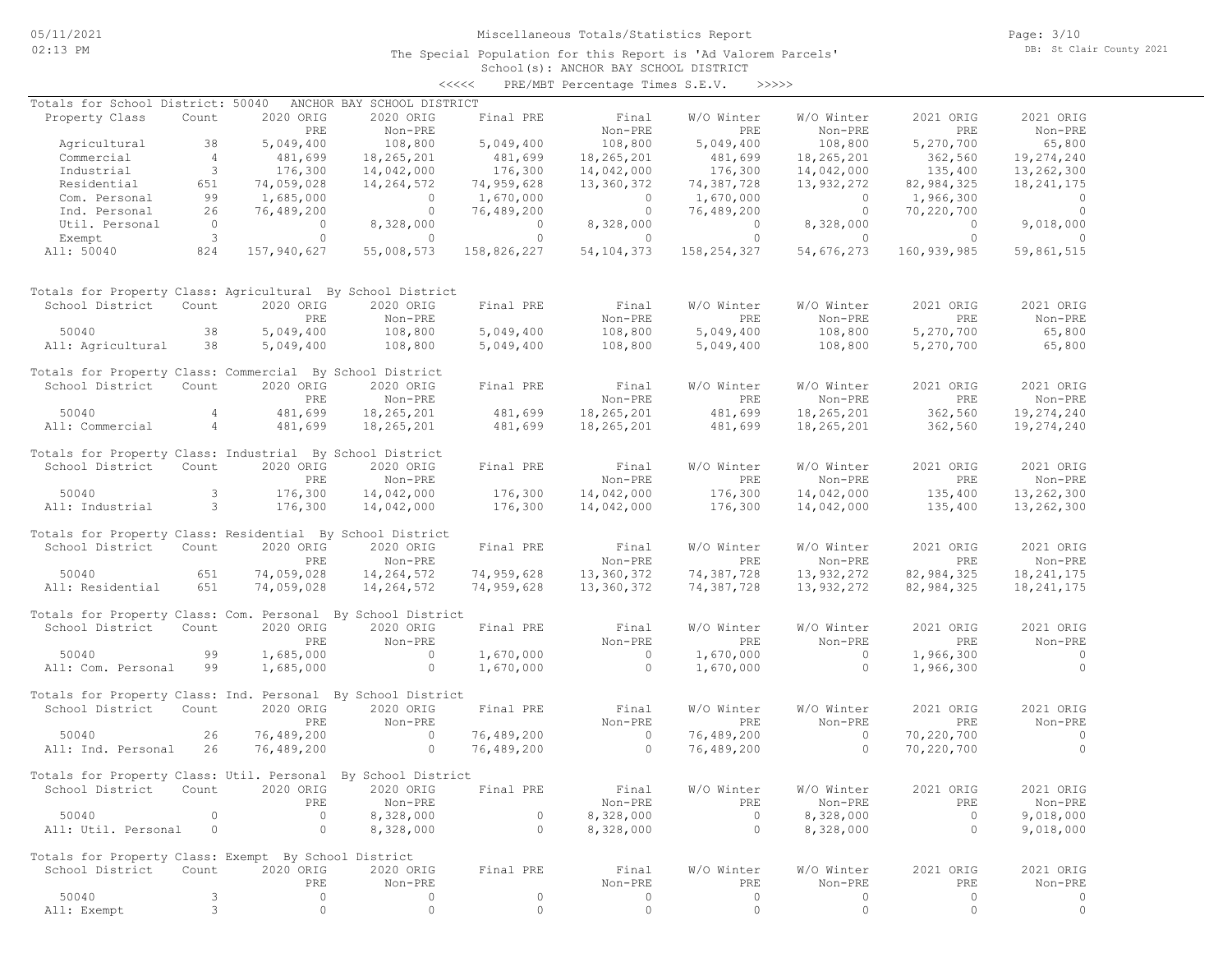The Special Population for this Report is 'Ad Valorem Parcels'

Page: 3/10 DB: St Clair County 2021

#### School(s): ANCHOR BAY SCHOOL DISTRICT <<<<< PRE/MBT Percentage Times S.E.V. >>>>>

| Totals for School District: 50040                            |                          |             | ANCHOR BAY SCHOOL DISTRICT |                    |                |                    |                      |                    |                |
|--------------------------------------------------------------|--------------------------|-------------|----------------------------|--------------------|----------------|--------------------|----------------------|--------------------|----------------|
| Property Class                                               | Count                    | 2020 ORIG   | 2020 ORIG                  | Final PRE          | Final          | W/O Winter         | W/O Winter           | 2021 ORIG          | 2021 ORIG      |
|                                                              |                          | PRE         | Non-PRE                    |                    | Non-PRE        | PRE                | Non-PRE              | PRE                | Non-PRE        |
| Agricultural                                                 | 38                       | 5,049,400   | 108,800                    | 5,049,400          | 108,800        | 5,049,400          | 108,800              | 5,270,700          | 65,800         |
| Commercial                                                   | $4\overline{4}$          | 481,699     | 18,265,201                 |                    | 18,265,201     |                    | 18,265,201           |                    | 19,274,240     |
| Industrial                                                   | $\overline{\phantom{a}}$ | 176,300     | 14,042,000                 | 481,699<br>176,300 | 14,042,000     | 481,699<br>176,300 | 14,042,000           | 362,560<br>135,400 | 13,262,300     |
| Residential                                                  | 651                      | 74,059,028  | 14,264,572                 | 74,959,628         | 13,360,372     | 74,387,728         | 13,932,272           | 82,984,325         | 18, 241, 175   |
|                                                              | 99                       |             |                            | 1,670,000          |                | 1,670,000          | $\circ$              |                    |                |
| Com. Personal                                                |                          | 1,685,000   | $\overline{0}$             |                    | $\overline{0}$ |                    |                      | 1,966,300          | $\sim$ 0       |
| Ind. Personal                                                | 26                       | 76,489,200  | $\overline{0}$             | 76,489,200         | $\overline{0}$ | 76,489,200         | $\circ$              | 70,220,700         | $\overline{0}$ |
| Util. Personal                                               | $\overline{0}$           | $\circ$     | 8,328,000                  | $\overline{0}$     | 8,328,000      | $\circ$            | 8,328,000            | $\overline{0}$     | 9,018,000      |
| Exempt                                                       | $\overline{\mathbf{3}}$  | $\circ$     | $\overline{0}$             | $\circ$            | $\overline{0}$ | $\circ$            | $\overline{0}$       | $\circ$            | $\circ$        |
| All: 50040                                                   | 824                      | 157,940,627 | 55,008,573                 | 158,826,227        | 54,104,373     | 158, 254, 327      | 54,676,273           | 160,939,985        | 59,861,515     |
| Totals for Property Class: Agricultural By School District   |                          |             |                            |                    |                |                    |                      |                    |                |
| School District                                              | Count                    | 2020 ORIG   | 2020 ORIG                  | Final PRE          | Final          | W/O Winter         | W/O Winter           | 2021 ORIG          | 2021 ORIG      |
|                                                              |                          | PRE         | Non-PRE                    |                    | Non-PRE        | PRE                | Non-PRE              | PRE                | Non-PRE        |
| 50040                                                        | 38                       | 5,049,400   | 108,800                    | 5,049,400          | 108,800        | 5,049,400          | 108,800              | 5,270,700          | 65,800         |
| All: Agricultural                                            | 38                       | 5,049,400   | 108,800                    | 5,049,400          | 108,800        | 5,049,400          | 108,800              | 5,270,700          | 65,800         |
|                                                              |                          |             |                            |                    |                |                    |                      |                    |                |
| Totals for Property Class: Commercial By School District     |                          |             |                            |                    |                |                    |                      |                    |                |
| School District                                              | Count                    | 2020 ORIG   | 2020 ORIG                  | Final PRE          | Final          | W/O Winter         | W/O Winter           | 2021 ORIG          | 2021 ORIG      |
|                                                              |                          | PRE         | Non-PRE                    |                    | Non-PRE        | PRE                | Non-PRE              | PRE                | Non-PRE        |
| 50040                                                        | $\overline{4}$           | 481,699     | 18,265,201                 | 481,699            | 18,265,201     | 481,699            | 18,265,201           | 362,560            | 19,274,240     |
| All: Commercial                                              | $4\overline{4}$          | 481,699     | 18,265,201                 | 481,699            | 18,265,201     | 481,699            | 18,265,201           | 362,560            | 19,274,240     |
|                                                              |                          |             |                            |                    |                |                    |                      |                    |                |
| Totals for Property Class: Industrial By School District     |                          |             |                            |                    |                |                    |                      |                    |                |
| School District                                              | Count                    | 2020 ORIG   | 2020 ORIG                  | Final PRE          | Final          | W/O Winter         | W/O Winter           | 2021 ORIG          | 2021 ORIG      |
|                                                              |                          | PRE         | Non-PRE                    |                    | Non-PRE        | PRE                | Non-PRE              | PRE                | Non-PRE        |
| 50040                                                        | 3                        | 176,300     | 14,042,000                 |                    | 14,042,000     | 176,300            | 14,042,000           | 135,400            | 13,262,300     |
| All: Industrial                                              | 3                        | 176,300     | 14,042,000                 | 176,300<br>176,300 | 14,042,000     | 176,300            |                      |                    |                |
|                                                              |                          |             |                            |                    |                |                    | 14,042,000           | 135,400            | 13,262,300     |
| Totals for Property Class: Residential By School District    |                          |             |                            |                    |                |                    |                      |                    |                |
| School District                                              | Count                    | 2020 ORIG   | 2020 ORIG                  | Final PRE          | Final          | W/O Winter         | W/O Winter           | 2021 ORIG          | 2021 ORIG      |
|                                                              |                          | PRE         | Non-PRE                    |                    | Non-PRE        | PRE                | Non-PRE              | PRE                | Non-PRE        |
|                                                              |                          |             |                            |                    |                |                    |                      |                    |                |
| 50040                                                        | 651                      | 74,059,028  | 14,264,572                 | 74,959,628         | 13,360,372     | 74,387,728         | 13,932,272           | 82,984,325         | 18, 241, 175   |
| All: Residential                                             | 651                      | 74,059,028  | 14,264,572                 | 74,959,628         | 13,360,372     | 74,387,728         | 13,932,272           | 82,984,325         | 18, 241, 175   |
| Totals for Property Class: Com. Personal By School District  |                          |             |                            |                    |                |                    |                      |                    |                |
| School District                                              | Count                    | 2020 ORIG   | 2020 ORIG                  | Final PRE          | Final          | W/O Winter         | W/O Winter           | 2021 ORIG          | 2021 ORIG      |
|                                                              |                          | PRE         | Non-PRE                    |                    | Non-PRE        | PRE                | Non-PRE              | PRE                | Non-PRE        |
| 50040                                                        | 99                       | 1,685,000   | $\overline{0}$             | 1,670,000          | $\sim$ 0       | 1,670,000          | $\sim$ 0             | 1,966,300          | $\sim$ 0       |
| All: Com. Personal 99                                        |                          |             | $\circ$                    |                    | $\overline{0}$ |                    | $\circ$              |                    | $\overline{0}$ |
|                                                              |                          | 1,685,000   |                            | 1,670,000          |                | 1,670,000          |                      | 1,966,300          |                |
| Totals for Property Class: Ind. Personal By School District  |                          |             |                            |                    |                |                    |                      |                    |                |
| School District                                              | Count                    | 2020 ORIG   | 2020 ORIG                  | Final PRE          | Final          | W/O Winter         | W/O Winter           | 2021 ORIG          | 2021 ORIG      |
|                                                              |                          | PRE         | Non-PRE                    |                    | Non-PRE        | PRE                | Non-PRE              | PRE                | Non-PRE        |
| 50040                                                        | 26                       | 76,489,200  | $\overline{0}$             | 76,489,200         | $\sim$ 0       | 76,489,200         | $\circ$              | 70,220,700         | $\overline{0}$ |
|                                                              |                          |             | $\circ$                    |                    | $\overline{0}$ |                    | $\circ$              |                    | $\Omega$       |
| All: Ind. Personal                                           | 26                       | 76,489,200  |                            | 76,489,200         |                | 76,489,200         |                      | 70,220,700         |                |
| Totals for Property Class: Util. Personal By School District |                          |             |                            |                    |                |                    |                      |                    |                |
| School District Count 2020 ORIG 2020 ORIG Final PRE          |                          |             |                            |                    | Final          | W/O Winter         | W/O Winter           | 2021 ORIG          | 2021 ORIG      |
|                                                              |                          |             |                            |                    |                |                    |                      |                    |                |
|                                                              |                          | PRE         | Non-PRE                    |                    | Non-PRE        | PRE                | Non-PRE<br>8,328,000 | PRE                | Non-PRE        |
| 50040                                                        | 0                        | $\circ$     | 8,328,000                  | $\circ$            | 8,328,000      | $\circ$            |                      | $\circ$            | 9,018,000      |
| All: Util. Personal                                          | 0                        | $\circ$     | 8,328,000                  | $\circ$            | 8,328,000      | $\circ$            | 8,328,000            | $\circ$            | 9,018,000      |
| Totals for Property Class: Exempt By School District         |                          |             |                            |                    |                |                    |                      |                    |                |
| School District                                              | Count                    | 2020 ORIG   | 2020 ORIG                  | Final PRE          | Final          | W/O Winter         | W/O Winter           | 2021 ORIG          | 2021 ORIG      |
|                                                              |                          |             | Non-PRE                    |                    |                |                    |                      |                    |                |
|                                                              |                          | PRE         |                            |                    | Non-PRE        | PRE                | Non-PRE              | PRE                | Non-PRE        |
| 50040                                                        | 3                        | $\circ$     | 0                          | 0                  | $\circ$        | $\circ$            | $\circ$              | $\circ$            | 0              |
| All: Exempt                                                  | 3                        | 0           | $\circ$                    | $\circ$            | $\circ$        | 0                  | $\circ$              | $\circ$            | $\circ$        |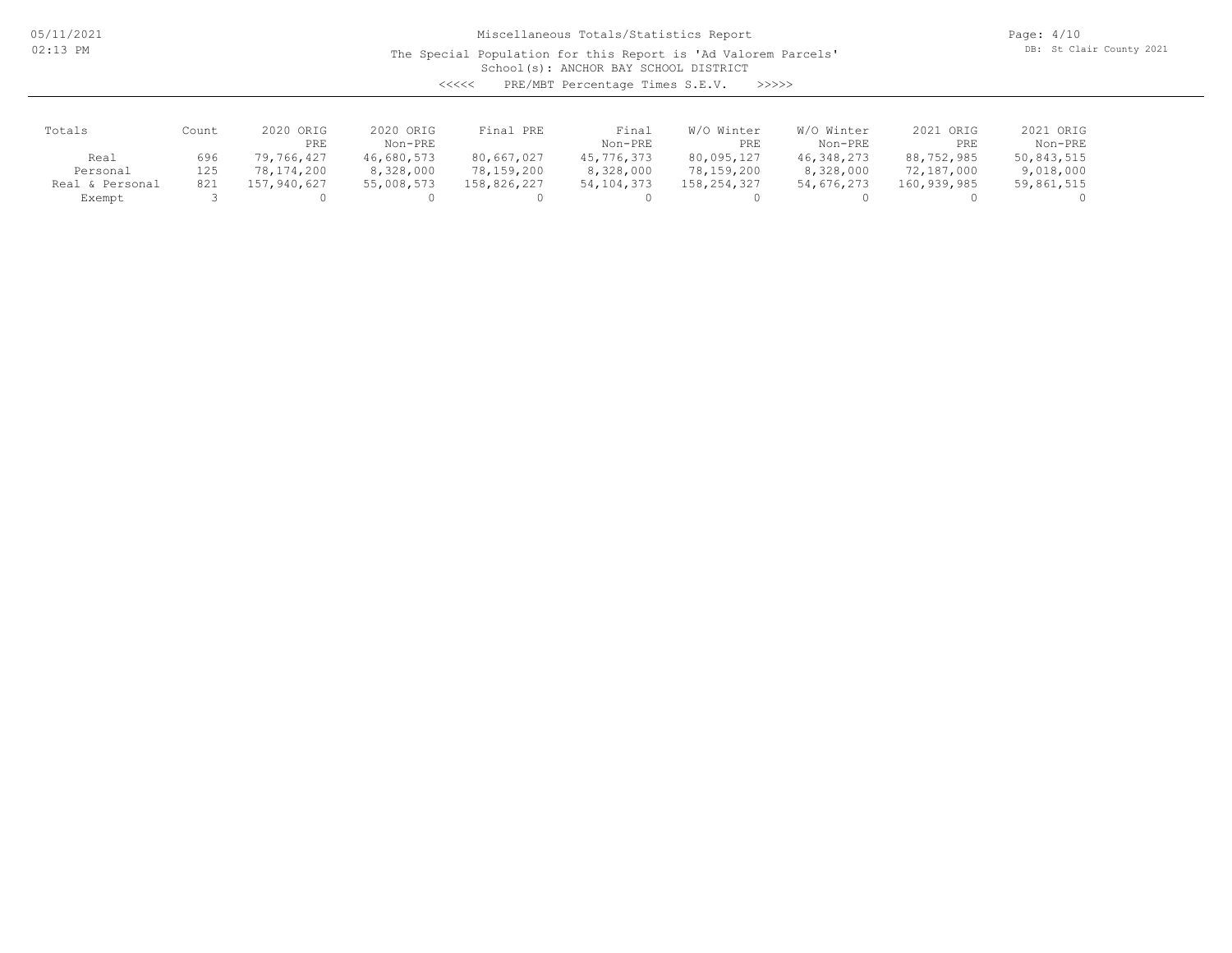The Special Population for this Report is 'Ad Valorem Parcels'

Page: 4/10 DB: St Clair County 2021

School(s): ANCHOR BAY SCHOOL DISTRICT

| くくくくく | PRE/MBT Percentage Times S.E.V. |  |  | >>>>> |
|-------|---------------------------------|--|--|-------|
|-------|---------------------------------|--|--|-------|

| Totals             | Count | 2020 ORIG        | 2020 ORIG  | Final PRE   | Final        | W/O Winter    | W/O Winter   | 2021 ORIG   | 2021 ORIG  |
|--------------------|-------|------------------|------------|-------------|--------------|---------------|--------------|-------------|------------|
|                    |       | PRE              | Non-PRE    |             | Non-PRE      | PRE           | Non-PRE      | PRE         | Non-PRE    |
| Real               | 696   | 79,766,427       | 46,680,573 | 80,667,027  | 45,776,373   | 80,095,127    | 46, 348, 273 | 88,752,985  | 50,843,515 |
| Personal           | 125   | 78,174,200       | 8,328,000  | 78,159,200  | 8,328,000    | 78,159,200    | 8,328,000    | 72,187,000  | 9,018,000  |
| & Personal<br>Real | 821   | 7,940,627<br>157 | 55,008,573 | 158,826,227 | 54, 104, 373 | 158, 254, 327 | 54,676,273   | 160,939,985 | 59,861,515 |
| Exempt             |       |                  |            |             |              |               |              |             |            |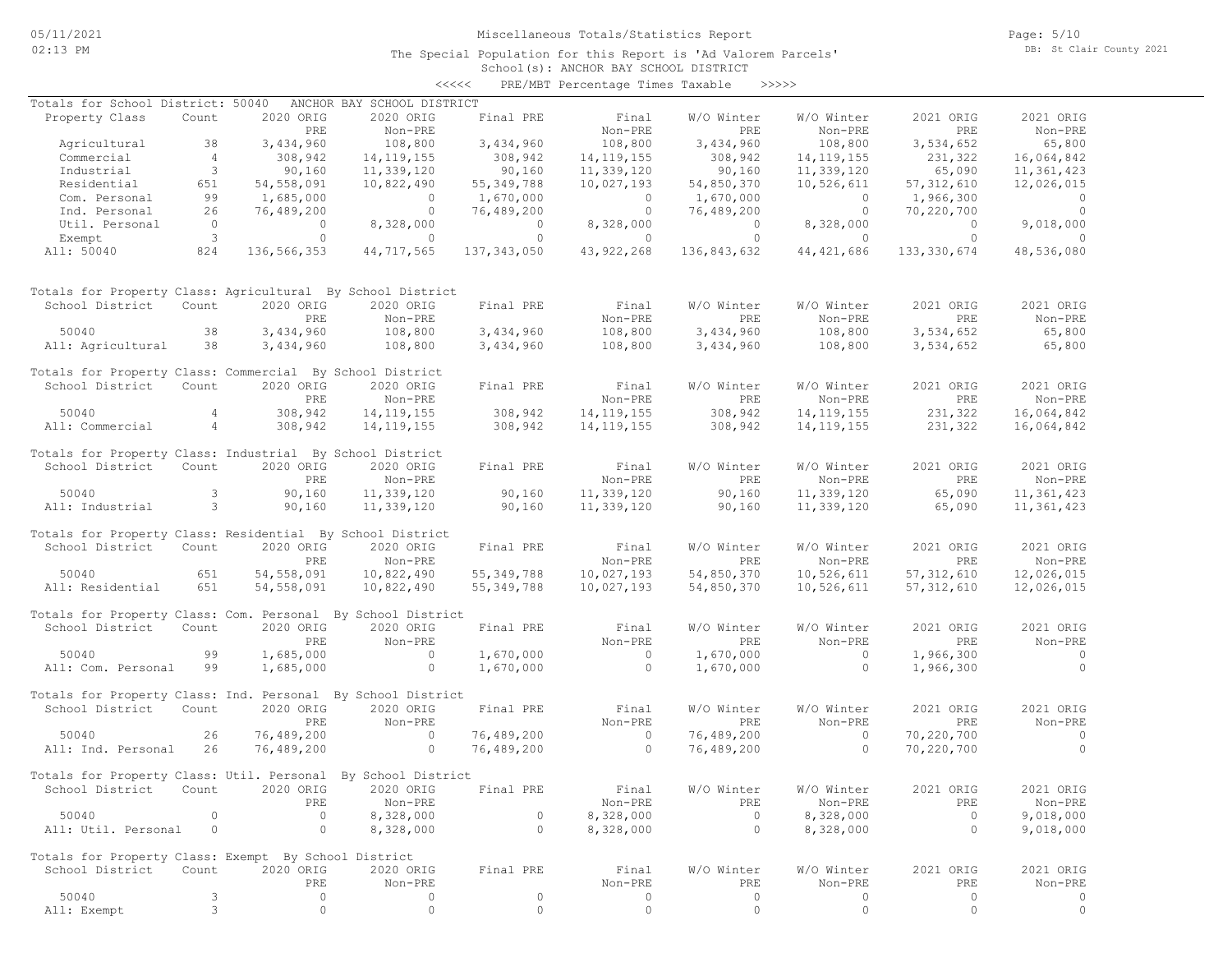The Special Population for this Report is 'Ad Valorem Parcels'

Page: 5/10 DB: St Clair County 2021

School(s): ANCHOR BAY SCHOOL DISTRICT <<<<< PRE/MBT Percentage Times Taxable >>>>>

| Totals for School District: 50040                            |                          |                | ANCHOR BAY SCHOOL DISTRICT            |                   |                          |                            |                          |                  |                                       |
|--------------------------------------------------------------|--------------------------|----------------|---------------------------------------|-------------------|--------------------------|----------------------------|--------------------------|------------------|---------------------------------------|
| Property Class                                               | Count                    | 2020 ORIG      | 2020 ORIG                             | Final PRE         | Final                    | W/O Winter                 | W/O Winter               | 2021 ORIG        | 2021 ORIG                             |
|                                                              |                          | PRE            | Non-PRE                               |                   | Non-PRE                  | PRE                        | Non-PRE                  | PRE              | Non-PRE                               |
| Agricultural                                                 | 38                       | 3,434,960      | 108,800                               | 3,434,960         | 108,800                  | 3,434,960                  | 108,800                  | 3,534,652        | 65,800                                |
| Commercial                                                   | 4                        | 308,942        | 14, 119, 155                          |                   | 14, 119, 155             | 308,942                    | 14, 119, 155             | 231,322          | 16,064,842                            |
| Industrial                                                   | $\overline{\phantom{a}}$ | 90,160         | 11,339,120                            | 308,942<br>90,160 | 11,339,120               | 90,160                     | 11,339,120               | 65,090           | 11,361,423                            |
| Residential                                                  | 651                      | 54,558,091     | 10,822,490                            | 55, 349, 788      | 10,027,193               | 54,850,370                 | 10,526,611               | 57, 312, 610     | 12,026,015                            |
| Com. Personal                                                | 99                       | 1,685,000      |                                       |                   |                          | 1,670,000                  | $\circ$                  |                  | $\overline{0}$                        |
|                                                              |                          |                | $\sim$ 0<br>$\overline{0}$            | 1,670,000         | $\overline{a}$           |                            |                          | 1,966,300        | $\overline{0}$                        |
| Ind. Personal                                                | 26<br>$\overline{0}$     | 76,489,200     |                                       | 76,489,200        | $\overline{0}$           | 76,489,200                 | $\overline{0}$           | 70,220,700       |                                       |
| Util. Personal                                               |                          | $\overline{0}$ | 8,328,000                             | $\overline{0}$    | 8,328,000                | $\overline{0}$             | 8,328,000                | $\overline{0}$   | 9,018,000                             |
| Exempt                                                       | $\overline{\mathbf{3}}$  | $\circ$        | $\overline{0}$                        | $\overline{0}$    | $\sim$ 0 $\sim$ 0 $\sim$ | $\overline{0}$             | $\sim$ 0 $\sim$ 0 $\sim$ | $\overline{0}$   | $\overline{0}$                        |
| All: 50040                                                   | 824                      | 136,566,353    | 44,717,565                            | 137,343,050       | 43,922,268               | 136,843,632                | 44, 421, 686             | 133,330,674      | 48,536,080                            |
| Totals for Property Class: Agricultural By School District   |                          |                |                                       |                   |                          |                            |                          |                  |                                       |
| School District                                              | Count                    | 2020 ORIG      | 2020 ORIG                             | Final PRE         | Final                    | W/O Winter                 | W/O Winter               | 2021 ORIG        | 2021 ORIG                             |
|                                                              |                          | PRE            | Non-PRE                               |                   | Non-PRE                  | PRE                        | Non-PRE                  | PRE              | Non-PRE                               |
| 50040                                                        | $\overline{38}$          | 3,434,960      | 108,800                               | 3,434,960         | 108,800                  | 3,434,960                  | 108,800                  | 3,534,652        | 65,800                                |
| All: Agricultural 38                                         |                          | 3,434,960      | 108,800                               | 3,434,960         | 108,800                  | 3,434,960                  | 108,800                  | 3,534,652        | 65,800                                |
|                                                              |                          |                |                                       |                   |                          |                            |                          |                  |                                       |
| Totals for Property Class: Commercial By School District     |                          |                |                                       |                   |                          |                            |                          |                  |                                       |
| School District Count                                        |                          | 2020 ORIG      | 2020 ORIG                             | Final PRE         | Final                    | W/O Winter                 | W/O Winter               | 2021 ORIG        | 2021 ORIG                             |
|                                                              |                          | PRE            | Non-PRE                               |                   | Non-PRE                  | PRE                        | Non-PRE                  | PRE              | Non-PRE                               |
| 50040                                                        | 4                        | 308,942        | 14, 119, 155                          | 308,942           | 14, 119, 155             | 308,942                    | 14, 119, 155             | 231,322          | 16,064,842                            |
| All: Commercial 4                                            |                          | 308,942        | 14, 119, 155                          | 308,942           | 14, 119, 155             | 308,942                    | 14, 119, 155             | 231,322          | 16,064,842                            |
|                                                              |                          |                |                                       |                   |                          |                            |                          |                  |                                       |
| Totals for Property Class: Industrial By School District     |                          |                |                                       |                   |                          |                            |                          |                  |                                       |
| School District                                              | Count                    | 2020 ORIG      | 2020 ORIG                             | Final PRE         | Final                    | W/O Winter                 | W/O Winter               | 2021 ORIG        | 2021 ORIG                             |
|                                                              |                          | PRE            | Non-PRE                               |                   | Non-PRE                  | PRE                        | Non-PRE                  | PRE              | Non-PRE                               |
| 50040                                                        | $\overline{\phantom{a}}$ | 90,160         | 11,339,120                            |                   | 11,339,120               |                            | 11,339,120               |                  | 11,361,423                            |
| All: Industrial                                              | $\sim$ 3                 | 90,160         | 11,339,120                            | 90,160<br>90,160  | 11,339,120               | 90,160<br>90.160<br>90,160 | 11,339,120               | 65,090<br>65,090 | 11,361,423                            |
|                                                              |                          |                |                                       |                   |                          |                            |                          |                  |                                       |
| Totals for Property Class: Residential By School District    |                          |                |                                       |                   |                          |                            |                          |                  |                                       |
| School District Count                                        |                          | 2020 ORIG      | 2020 ORIG                             | Final PRE         | Final                    | W/O Winter                 | W/O Winter               | 2021 ORIG        | 2021 ORIG                             |
|                                                              |                          | PRE            | Non-PRE                               |                   | Non-PRE                  | PRE                        | Non-PRE                  | PRE              | Non-PRE                               |
| 50040                                                        | 651                      | 54, 558, 091   | 10,822,490                            | 55, 349, 788      | 10,027,193               | 54,850,370                 | 10,526,611               | 57, 312, 610     | 12,026,015                            |
| All: Residential                                             | 651                      | 54,558,091     | 10,822,490                            | 55, 349, 788      | 10,027,193               | 54,850,370                 | 10,526,611               | 57, 312, 610     | 12,026,015                            |
|                                                              |                          |                |                                       |                   |                          |                            |                          |                  |                                       |
| Totals for Property Class: Com. Personal By School District  |                          |                |                                       |                   |                          |                            |                          |                  |                                       |
| School District Count                                        |                          | 2020 ORIG      | 2020 ORIG                             | Final PRE         | Final                    | W/O Winter                 | W/O Winter               | 2021 ORIG        | 2021 ORIG                             |
|                                                              |                          | PRE            | Non-PRE                               |                   | Non-PRE                  | PRE                        | Non-PRE                  | PRE              | Non-PRE                               |
| 50040                                                        | 99                       | 1,685,000      | $\sim$ 0                              | 1,670,000         | $\overline{0}$           | 1,670,000                  | $\sim$ 0                 | 1,966,300        | $\begin{array}{c} 0 \\ 0 \end{array}$ |
| All: Com. Personal 99                                        |                          | 1,685,000      | $\sim$ 0                              | 1,670,000         | $\overline{0}$           | 1,670,000                  | $\overline{0}$           | 1,966,300        | $\overline{0}$                        |
|                                                              |                          |                |                                       |                   |                          |                            |                          |                  |                                       |
| Totals for Property Class: Ind. Personal By School District  |                          |                |                                       |                   |                          |                            |                          |                  |                                       |
| School District                                              | Count                    | 2020 ORIG      | 2020 ORIG                             | Final PRE         | Final                    | W/O Winter                 | W/O Winter               | 2021 ORIG        | 2021 ORIG                             |
|                                                              |                          | PRE            | Non-PRE                               |                   | Non-PRE                  | PRE                        | Non-PRE                  | PRE              | Non-PRE                               |
| 50040                                                        | 26                       | 76,489,200     | $\overline{0}$                        | 76,489,200        | $\sim$ 0                 | 76,489,200                 | $\sim$ 0                 | 70,220,700       | $\sim$ 0                              |
| All: Ind. Personal                                           | 26                       | 76,489,200     | $\begin{array}{c} 0 \\ 0 \end{array}$ | 76,489,200        | $\overline{a}$           | 76,489,200                 | $\Omega$                 | 70,220,700       | $\overline{0}$                        |
|                                                              |                          |                |                                       |                   |                          |                            |                          |                  |                                       |
| Totals for Property Class: Util. Personal By School District |                          |                |                                       |                   |                          |                            |                          |                  |                                       |
| School District Count 2020 ORIG 2020 ORIG Final PRE          |                          |                |                                       |                   | Final                    |                            | W/O Winter W/O Winter    | 2021 ORIG        | 2021 ORIG                             |
|                                                              |                          | PRE            | Non-PRE                               |                   | Non-PRE                  | PRE                        | Non-PRE                  | PRE              | Non-PRE                               |
| 50040                                                        | $\circ$                  | $\circ$        | 8,328,000                             | $\circ$           | 8,328,000                | $\circ$                    | 8,328,000                | $\overline{0}$   | 9,018,000                             |
| All: Util. Personal                                          | $\circ$                  | $\circ$        | 8,328,000                             | $\circ$           | 8,328,000                | $\circ$                    | 8,328,000                | $\circ$          | 9,018,000                             |
|                                                              |                          |                |                                       |                   |                          |                            |                          |                  |                                       |
| Totals for Property Class: Exempt By School District         |                          |                |                                       |                   |                          |                            |                          |                  |                                       |
| School District                                              | Count                    | 2020 ORIG      | 2020 ORIG                             | Final PRE         | Final                    | W/O Winter                 | W/O Winter               | 2021 ORIG        | 2021 ORIG                             |
|                                                              |                          | PRE            | Non-PRE                               |                   | Non-PRE                  | PRE                        | Non-PRE                  | PRE              | Non-PRE                               |
| 50040                                                        | 3                        | 0              | 0                                     | $\circ$           | $\circ$                  | $\circ$                    | $\circ$                  | $\circ$          | 0                                     |
|                                                              | 3                        | $\circ$        | $\circ$                               | $\circ$           | $\circ$                  | $\circ$                    | $\circ$                  | $\circ$          | $\circ$                               |
| All: Exempt                                                  |                          |                |                                       |                   |                          |                            |                          |                  |                                       |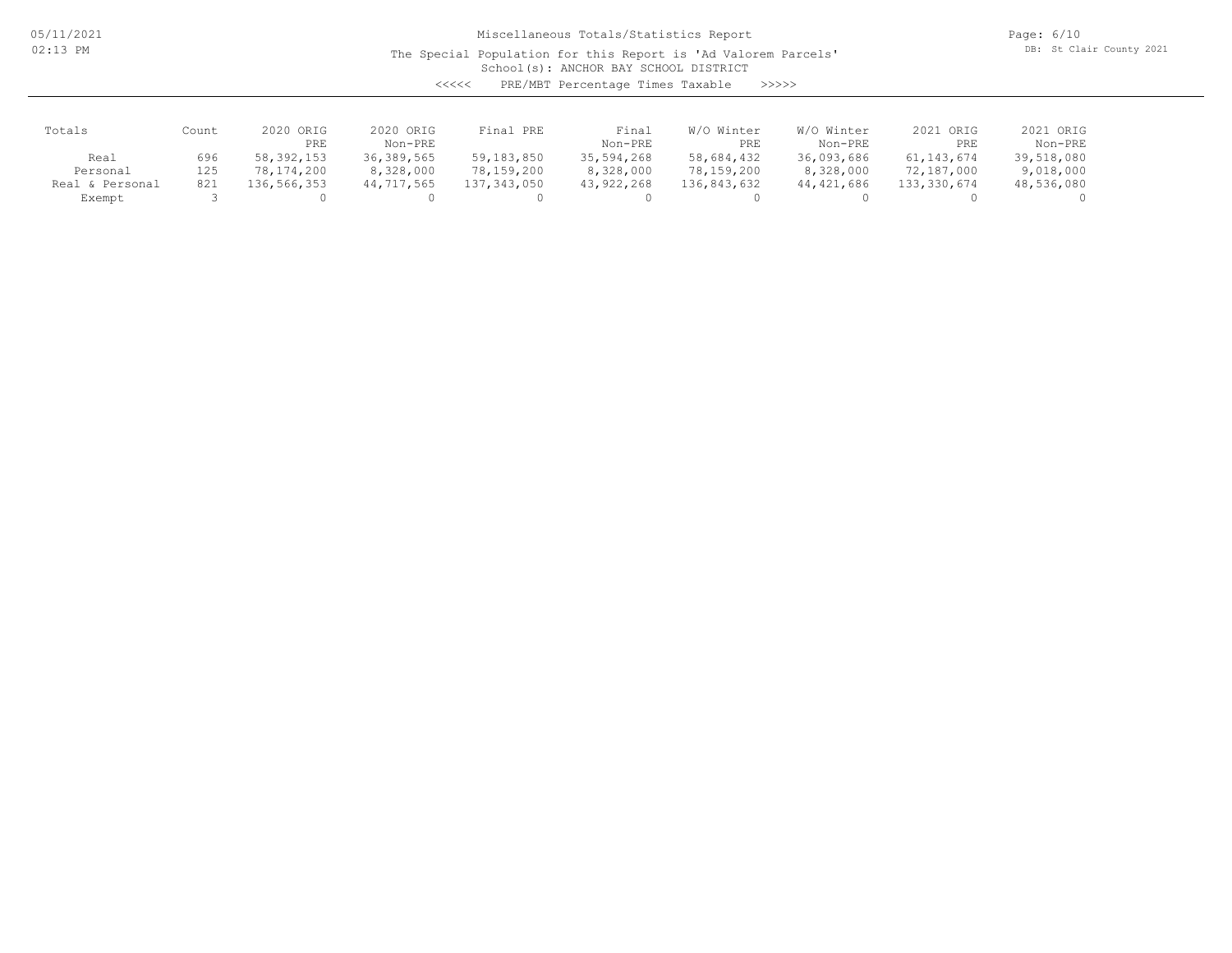The Special Population for this Report is 'Ad Valorem Parcels'

Page: 6/10 DB: St Clair County 2021

School(s): ANCHOR BAY SCHOOL DISTRICT

| <<<< | PRE/MBT Percentage Times Taxable |  |  | >>>>> |
|------|----------------------------------|--|--|-------|
|------|----------------------------------|--|--|-------|

| Totals             | Count | ORIG<br>2020<br>PRE | 2020 ORIG<br>Non-PRE | Final PRE   | Final<br>Non-PRE | W/O Winter<br>PRE | W/O Winter<br>Non-PRE | 2021 ORIG<br>PRE | 2021 ORIG<br>Non-PRE |
|--------------------|-------|---------------------|----------------------|-------------|------------------|-------------------|-----------------------|------------------|----------------------|
| Real               | 696   | 58,392,153          | 36,389,565           | 59,183,850  | 35,594,268       | 58,684,432        | 36,093,686            | 61, 143, 674     | 39,518,080           |
| Personal           | 125   | 78,174,200          | 8,328,000            | 78,159,200  | 8,328,000        | 78,159,200        | 8,328,000             | 72,187,000       | 9,018,000            |
| & Personal<br>Real | 821   | 136,566,353         | 44,717,565           | 137,343,050 | 43,922,268       | 136,843,632       | 44, 421, 686          | 133,330,674      | 48,536,080           |
| Exempt             |       |                     |                      |             |                  |                   |                       |                  |                      |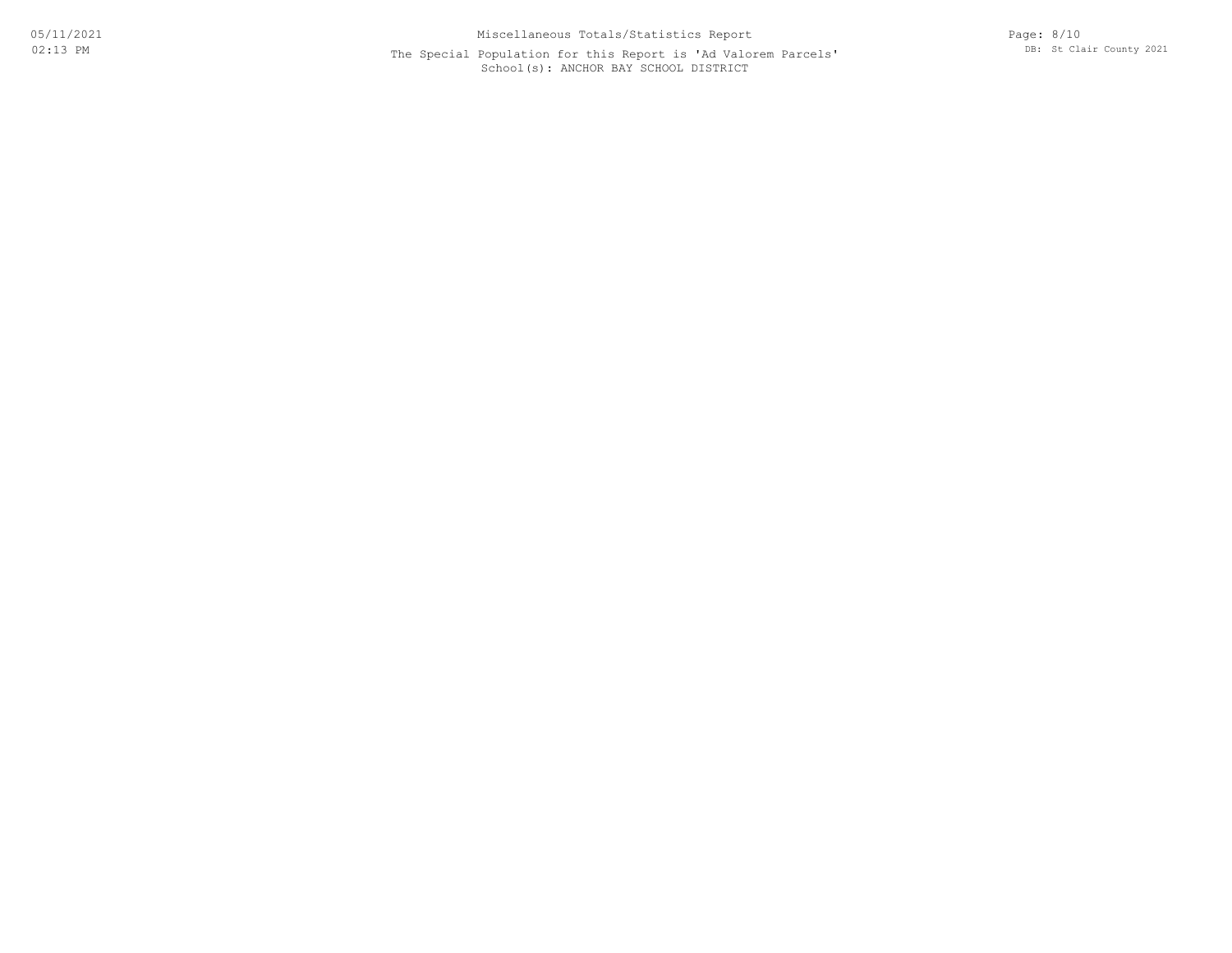#### School(s): ANCHOR BAY SCHOOL DISTRICT The Special Population for this Report is 'Ad Valorem Parcels'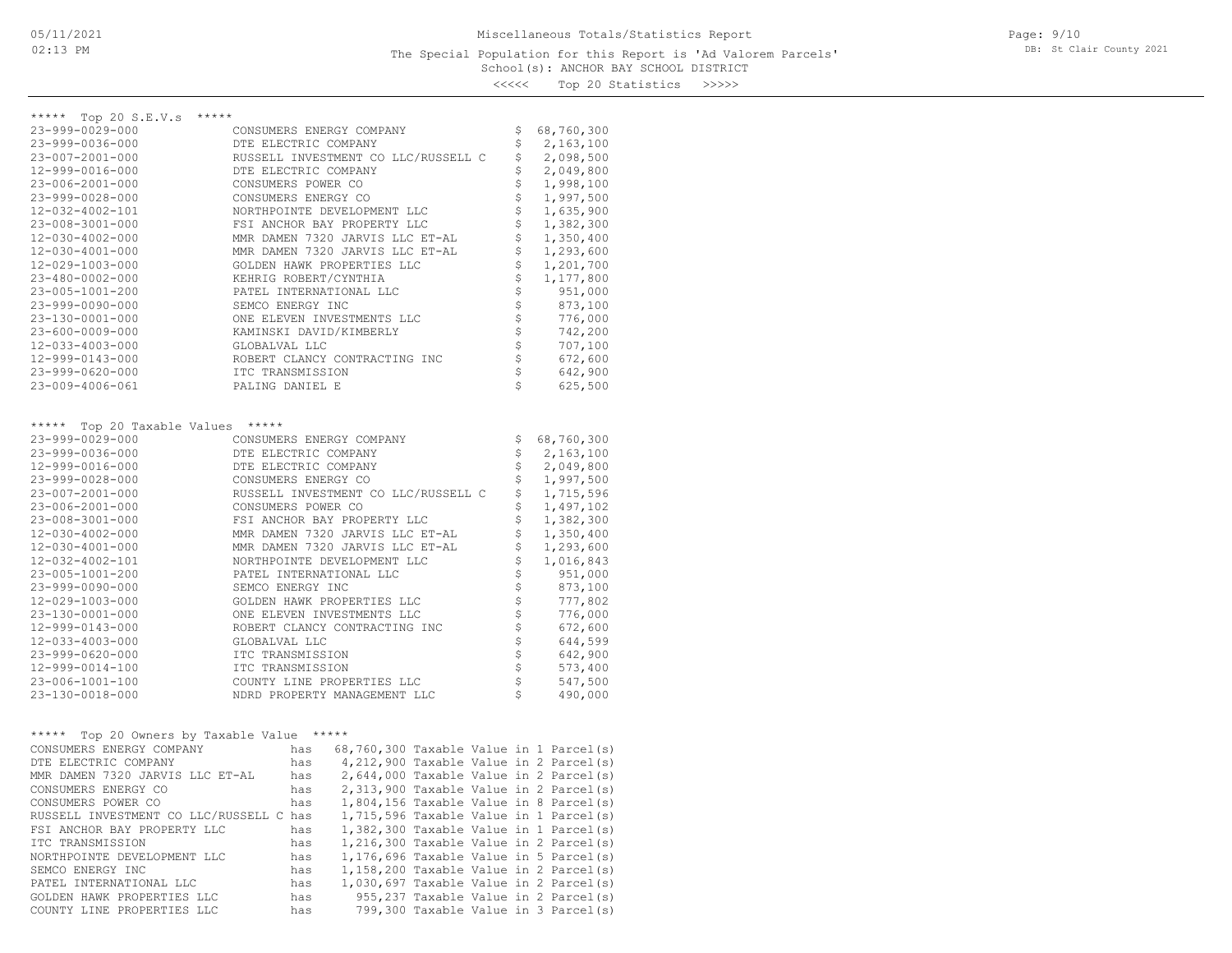### School(s): ANCHOR BAY SCHOOL DISTRICT The Special Population for this Report is 'Ad Valorem Parcels'

Page: 9/10 DB: St Clair County 2021

<<<<< Top 20 Statistics >>>>>

| ***** Top 20 S.E.V.s<br>*****<br>23-999-0029-000<br>23-999-0036-000<br>23-007-2001-000<br>12-999-0016-000<br>23-006-2001-000<br>$23 - 999 - 0028 - 000$ | CONSUMERS ENERGY COMPANY<br>DTE ELECTRIC COMPANY<br>RUSSELL INVESTMENT CO LLC/RUSSELL C<br>DTE ELECTRIC COMPANY<br>CONSUMERS POWER CO<br>CONSUMERS ENERGY CO                            | \$<br>\$<br>\$<br>\$<br>\$<br>\$          | 68,760,300<br>2,163,100<br>2,098,500<br>2,049,800<br>1,998,100<br>1,997,500 |
|---------------------------------------------------------------------------------------------------------------------------------------------------------|-----------------------------------------------------------------------------------------------------------------------------------------------------------------------------------------|-------------------------------------------|-----------------------------------------------------------------------------|
| 12-032-4002-101<br>$23 - 008 - 3001 - 000$<br>12-030-4002-000<br>12-030-4001-000<br>12-029-1003-000<br>23-480-0002-000                                  | NORTHPOINTE DEVELOPMENT LLC<br>FSI ANCHOR BAY PROPERTY LLC<br>MMR DAMEN 7320 JARVIS LLC ET-AL<br>MMR DAMEN 7320 JARVIS LLC ET-AL<br>GOLDEN HAWK PROPERTIES LLC<br>KEHRIG ROBERT/CYNTHIA | \$<br>\$<br>\$<br>\$<br>\$<br>\$          | 1,635,900<br>1,382,300<br>1,350,400<br>1,293,600<br>1,201,700<br>1,177,800  |
| 23-005-1001-200<br>23-999-0090-000<br>23-130-0001-000<br>23-600-0009-000<br>12-033-4003-000                                                             | PATEL INTERNATIONAL LLC<br>SEMCO ENERGY INC<br>ONE ELEVEN INVESTMENTS LLC<br>KAMINSKI DAVID/KIMBERLY<br>GLOBALVAL LLC                                                                   | \$<br>\$<br>\$<br>$\dot{\varsigma}$<br>\$ | 951,000<br>873,100<br>776,000<br>742,200<br>707,100                         |
| 12-999-0143-000<br>23-999-0620-000<br>23-009-4006-061                                                                                                   | ROBERT CLANCY CONTRACTING INC<br>ITC TRANSMISSION<br>PALING DANIEL E                                                                                                                    | \$<br>\$<br>\$                            | 672,600<br>642,900<br>625,500                                               |
| ***** Top 20 Taxable Values *****                                                                                                                       |                                                                                                                                                                                         |                                           |                                                                             |
| 23-999-0029-000                                                                                                                                         | CONSUMERS ENERGY COMPANY                                                                                                                                                                | \$                                        | 68,760,300                                                                  |
| 23-999-0036-000<br>12-999-0016-000                                                                                                                      | DTE ELECTRIC COMPANY                                                                                                                                                                    | \$<br>\$                                  | 2,163,100<br>2,049,800                                                      |
| 23-999-0028-000                                                                                                                                         | DTE ELECTRIC COMPANY<br>CONSUMERS ENERGY CO                                                                                                                                             | \$                                        | 1,997,500                                                                   |
| 23-007-2001-000                                                                                                                                         | RUSSELL INVESTMENT CO LLC/RUSSELL C                                                                                                                                                     | \$                                        | 1,715,596                                                                   |
| 23-006-2001-000                                                                                                                                         | CONSUMERS POWER CO                                                                                                                                                                      | \$                                        | 1,497,102                                                                   |
| 23-008-3001-000                                                                                                                                         | FSI ANCHOR BAY PROPERTY LLC                                                                                                                                                             | \$                                        | 1,382,300                                                                   |
| 12-030-4002-000                                                                                                                                         | MMR DAMEN 7320 JARVIS LLC ET-AL                                                                                                                                                         | \$                                        | 1,350,400                                                                   |
| 12-030-4001-000                                                                                                                                         | MMR DAMEN 7320 JARVIS LLC ET-AL                                                                                                                                                         | \$                                        | 1,293,600                                                                   |
| 12-032-4002-101                                                                                                                                         | NORTHPOINTE DEVELOPMENT LLC                                                                                                                                                             | \$                                        | 1,016,843                                                                   |
| 23-005-1001-200<br>23-999-0090-000                                                                                                                      | PATEL INTERNATIONAL LLC<br>SEMCO ENERGY INC                                                                                                                                             | \$<br>\$                                  | 951,000<br>873,100                                                          |
| 12-029-1003-000                                                                                                                                         | GOLDEN HAWK PROPERTIES LLC                                                                                                                                                              | \$                                        | 777,802                                                                     |
| 23-130-0001-000                                                                                                                                         | ONE ELEVEN INVESTMENTS LLC                                                                                                                                                              | \$                                        | 776,000                                                                     |
| 12-999-0143-000                                                                                                                                         | ROBERT CLANCY CONTRACTING INC                                                                                                                                                           | \$                                        | 672,600                                                                     |
| 12-033-4003-000                                                                                                                                         | GLOBALVAL LLC                                                                                                                                                                           | \$                                        | 644,599                                                                     |
| 23-999-0620-000                                                                                                                                         | ITC TRANSMISSION                                                                                                                                                                        | \$                                        | 642,900                                                                     |
| 12-999-0014-100                                                                                                                                         | ITC TRANSMISSION                                                                                                                                                                        | $\dot{\varsigma}$                         | 573,400                                                                     |
| 23-006-1001-100                                                                                                                                         | COUNTY LINE PROPERTIES LLC                                                                                                                                                              | $\boldsymbol{\dot{\varsigma}}$            | 547,500                                                                     |
| 23-130-0018-000                                                                                                                                         | NDRD PROPERTY MANAGEMENT LLC                                                                                                                                                            | \$                                        | 490,000                                                                     |
| *****                                                                                                                                                   |                                                                                                                                                                                         |                                           |                                                                             |
| Top 20 Owners by Taxable Value *****<br>CONSUMERS ENERGY COMPANY                                                                                        | has 68,760,300 Taxable Value in 1 Parcel(s)                                                                                                                                             |                                           |                                                                             |
| DTE ELECTRIC COMPANY                                                                                                                                    | 4,212,900 Taxable Value in 2 Parcel(s)<br>has                                                                                                                                           |                                           |                                                                             |
| MMR DAMEN 7320 JARVIS LLC ET-AL                                                                                                                         | 2,644,000 Taxable Value in 2 Parcel(s)<br>has                                                                                                                                           |                                           |                                                                             |
| CONSUMERS ENERGY CO                                                                                                                                     | 2,313,900 Taxable Value in 2 Parcel(s)<br>has                                                                                                                                           |                                           |                                                                             |
| CONSUMERS POWER CO                                                                                                                                      | has<br>1,804,156 Taxable Value in 8 Parcel(s)                                                                                                                                           |                                           |                                                                             |
| RUSSELL INVESTMENT CO LLC/RUSSELL C has                                                                                                                 | 1,715,596 Taxable Value in 1 Parcel(s)                                                                                                                                                  |                                           |                                                                             |
| FSI ANCHOR BAY PROPERTY LLC                                                                                                                             | 1,382,300 Taxable Value in 1 Parcel(s)<br>has                                                                                                                                           |                                           |                                                                             |
| ITC TRANSMISSION<br>NORTHPOINTE DEVELOPMENT LLC                                                                                                         | 1,216,300 Taxable Value in 2 Parcel(s)<br>has<br>1,176,696 Taxable Value in 5 Parcel(s)<br>has                                                                                          |                                           |                                                                             |
| SEMCO ENERGY INC                                                                                                                                        | 1,158,200 Taxable Value in 2 Parcel(s)<br>has                                                                                                                                           |                                           |                                                                             |
| PATEL INTERNATIONAL LLC                                                                                                                                 | 1,030,697 Taxable Value in 2 Parcel(s)<br>has                                                                                                                                           |                                           |                                                                             |
| GOLDEN HAWK PROPERTIES LLC                                                                                                                              | 955,237 Taxable Value in 2 Parcel(s)<br>has                                                                                                                                             |                                           |                                                                             |
| COUNTY LINE PROPERTIES LLC                                                                                                                              | 799,300 Taxable Value in 3 Parcel(s)<br>has                                                                                                                                             |                                           |                                                                             |
|                                                                                                                                                         |                                                                                                                                                                                         |                                           |                                                                             |